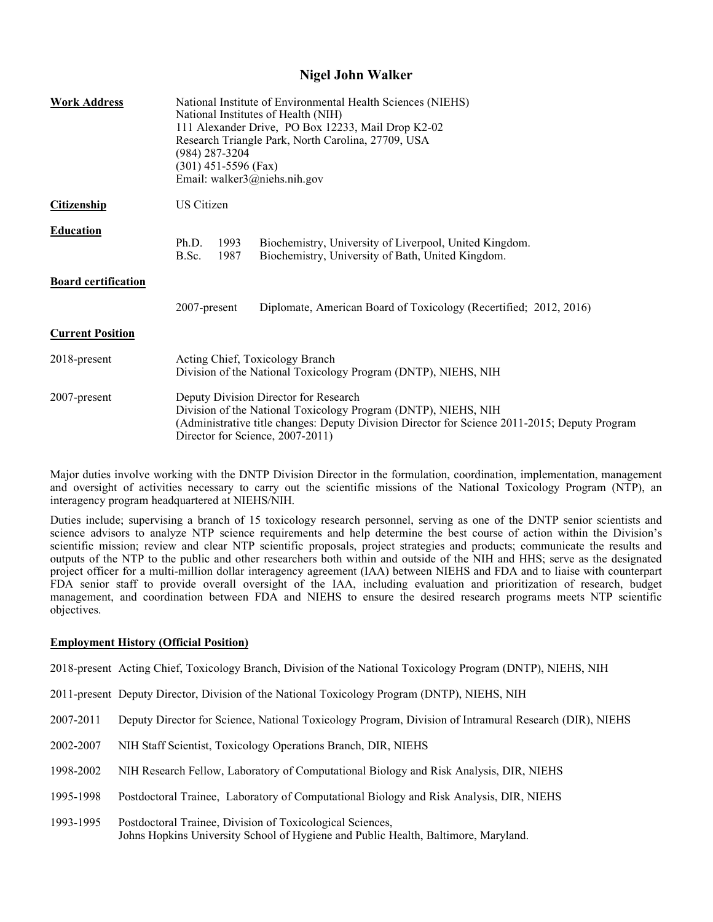## **Nigel John Walker**

| <b>Work Address</b>        | National Institute of Environmental Health Sciences (NIEHS)<br>National Institutes of Health (NIH)<br>111 Alexander Drive, PO Box 12233, Mail Drop K2-02<br>Research Triangle Park, North Carolina, 27709, USA<br>(984) 287-3204<br>$(301)$ 451-5596 (Fax)<br>Email: walker $3@$ niehs.nih.gov |                                                                                                             |
|----------------------------|------------------------------------------------------------------------------------------------------------------------------------------------------------------------------------------------------------------------------------------------------------------------------------------------|-------------------------------------------------------------------------------------------------------------|
| <b>Citizenship</b>         | US Citizen                                                                                                                                                                                                                                                                                     |                                                                                                             |
| <b>Education</b>           | 1993<br>Ph.D.<br>1987<br>B.Sc.                                                                                                                                                                                                                                                                 | Biochemistry, University of Liverpool, United Kingdom.<br>Biochemistry, University of Bath, United Kingdom. |
| <b>Board certification</b> |                                                                                                                                                                                                                                                                                                |                                                                                                             |
|                            | 2007-present                                                                                                                                                                                                                                                                                   | Diplomate, American Board of Toxicology (Recertified; 2012, 2016)                                           |
| <b>Current Position</b>    |                                                                                                                                                                                                                                                                                                |                                                                                                             |
| 2018-present               | Acting Chief, Toxicology Branch<br>Division of the National Toxicology Program (DNTP), NIEHS, NIH                                                                                                                                                                                              |                                                                                                             |
| 2007-present               | Deputy Division Director for Research<br>Division of the National Toxicology Program (DNTP), NIEHS, NIH<br>(Administrative title changes: Deputy Division Director for Science 2011-2015; Deputy Program<br>Director for Science, 2007-2011)                                                   |                                                                                                             |

 Major duties involve working with the DNTP Division Director in the formulation, coordination, implementation, management and oversight of activities necessary to carry out the scientific missions of the National Toxicology Program (NTP), an interagency program headquartered at NIEHS/NIH.

 Duties include; supervising a branch of 15 toxicology research personnel, serving as one of the DNTP senior scientists and science advisors to analyze NTP science requirements and help determine the best course of action within the Division's scientific mission; review and clear NTP scientific proposals, project strategies and products; communicate the results and outputs of the NTP to the public and other researchers both within and outside of the NIH and HHS; serve as the designated project officer for a multi-million dollar interagency agreement (IAA) between NIEHS and FDA and to liaise with counterpart FDA senior staff to provide overall oversight of the IAA, including evaluation and prioritization of research, budget management, and coordination between FDA and NIEHS to ensure the desired research programs meets NTP scientific objectives.

#### **Employment History (Official Position)**

2018-present Acting Chief, Toxicology Branch, Division of the National Toxicology Program (DNTP), NIEHS, NIH

- 2011-present Deputy Director, Division of the National Toxicology Program (DNTP), NIEHS, NIH
- 2007-2011 Deputy Director for Science, National Toxicology Program, Division of Intramural Research (DIR), NIEHS
- 2002-2007 2002-2007 NIH Staff Scientist, Toxicology Operations Branch, DIR, NIEHS
- 1998-2002 NIH Research Fellow, Laboratory of Computational Biology and Risk Analysis, DIR, NIEHS
- 1995-1998 Postdoctoral Trainee, Laboratory of Computational Biology and Risk Analysis, DIR, NIEHS
- 1993-1995 Postdoctoral Trainee, Division of Toxicological Sciences, Johns Hopkins University School of Hygiene and Public Health, Baltimore, Maryland.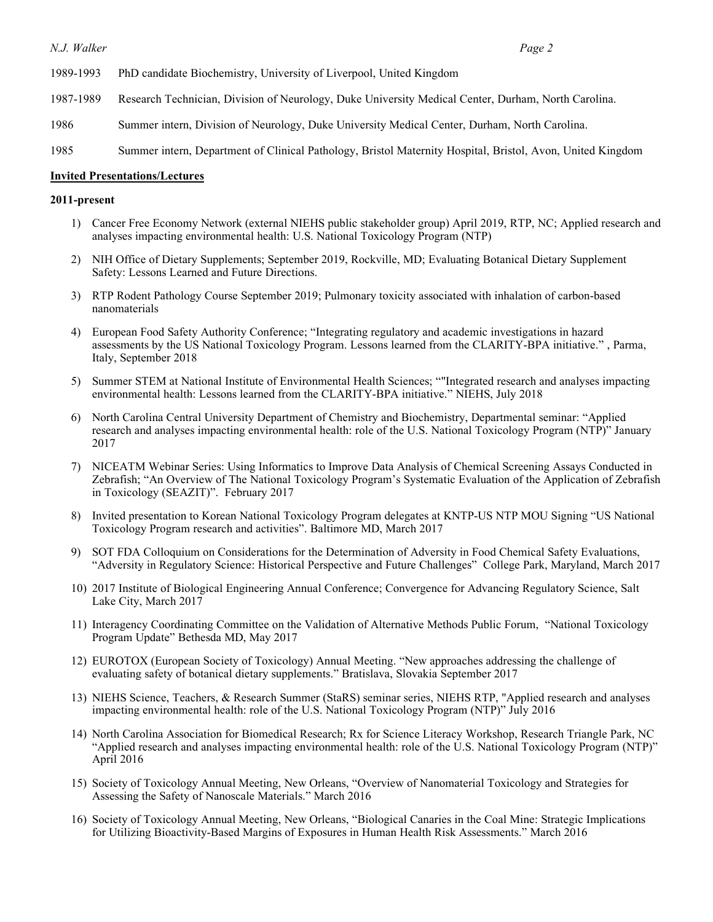- 1989-1993 1989-1993 PhD candidate Biochemistry, University of Liverpool, United Kingdom
- 1987-1989 Research Technician, Division of Neurology, Duke University Medical Center, Durham, North Carolina.
- 1986 Summer intern, Division of Neurology, Duke University Medical Center, Durham, North Carolina.
- 1985 Summer intern, Department of Clinical Pathology, Bristol Maternity Hospital, Bristol, Avon, United Kingdom

#### **Invited Presentations/Lectures**

#### **2011-present**

- 1) Cancer Free Economy Network (external NIEHS public stakeholder group) April 2019, RTP, NC; Applied research and analyses impacting environmental health: U.S. National Toxicology Program (NTP)
- 2) NIH Office of Dietary Supplements; September 2019, Rockville, MD; Evaluating Botanical Dietary Supplement Safety: Lessons Learned and Future Directions.
- 3) RTP Rodent Pathology Course September 2019; Pulmonary toxicity associated with inhalation of carbon-based nanomaterials
- assessments by the US National Toxicology Program. Lessons learned from the CLARITY-BPA initiative." , Parma, Italy, September 2018 4) European Food Safety Authority Conference; "Integrating regulatory and academic investigations in hazard
- 5) Summer STEM at National Institute of Environmental Health Sciences; ""Integrated research and analyses impacting environmental health: Lessons learned from the CLARITY-BPA initiative." NIEHS, July 2018
- 6) North Carolina Central University Department of Chemistry and Biochemistry, Departmental seminar: "Applied research and analyses impacting environmental health: role of the U.S. National Toxicology Program (NTP)" January 2017
- 7) NICEATM Webinar Series: Using Informatics to Improve Data Analysis of Chemical Screening Assays Conducted in Zebrafish; "An Overview of The National Toxicology Program's Systematic Evaluation of the Application of Zebrafish in Toxicology (SEAZIT)". February 2017
- 8) Invited presentation to Korean National Toxicology Program delegates at KNTP-US NTP MOU Signing "US National Toxicology Program research and activities". Baltimore MD, March 2017
- 9) SOT FDA Colloquium on Considerations for the Determination of Adversity in Food Chemical Safety Evaluations, "Adversity in Regulatory Science: Historical Perspective and Future Challenges" College Park, Maryland, March 2017
- 10) 2017 Institute of Biological Engineering Annual Conference; Convergence for Advancing Regulatory Science, Salt Lake City, March 2017
- 11) Interagency Coordinating Committee on the Validation of Alternative Methods Public Forum, "National Toxicology Program Update" Bethesda MD, May 2017
- 12) EUROTOX (European Society of Toxicology) Annual Meeting. "New approaches addressing the challenge of evaluating safety of botanical dietary supplements." Bratislava, Slovakia September 2017
- 13) NIEHS Science, Teachers, & Research Summer (StaRS) seminar series, NIEHS RTP, "Applied research and analyses impacting environmental health: role of the U.S. National Toxicology Program (NTP)" July 2016
- 14) North Carolina Association for Biomedical Research; Rx for Science Literacy Workshop, Research Triangle Park, NC "Applied research and analyses impacting environmental health: role of the U.S. National Toxicology Program (NTP)" April 2016
- 15) Society of Toxicology Annual Meeting, New Orleans, "Overview of Nanomaterial Toxicology and Strategies for Assessing the Safety of Nanoscale Materials." March 2016
- 16) Society of Toxicology Annual Meeting, New Orleans, "Biological Canaries in the Coal Mine: Strategic Implications for Utilizing Bioactivity-Based Margins of Exposures in Human Health Risk Assessments." March 2016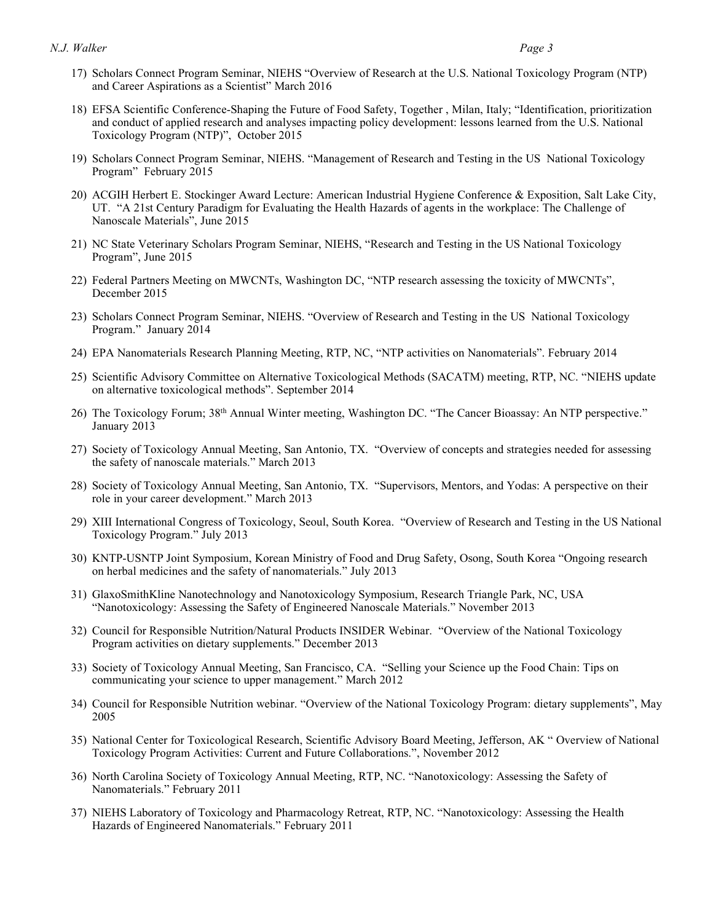- 17) Scholars Connect Program Seminar, NIEHS "Overview of Research at the U.S. National Toxicology Program (NTP) and Career Aspirations as a Scientist" March 2016
- 18) EFSA Scientific Conference-Shaping the Future of Food Safety, Together , Milan, Italy; "Identification, prioritization and conduct of applied research and analyses impacting policy development: lessons learned from the U.S. National Toxicology Program (NTP)", October 2015
- 19) Scholars Connect Program Seminar, NIEHS. "Management of Research and Testing in the US National Toxicology Program" February 2015
- 20) ACGIH Herbert E. Stockinger Award Lecture: American Industrial Hygiene Conference & Exposition, Salt Lake City, UT. "A 21st Century Paradigm for Evaluating the Health Hazards of agents in the workplace: The Challenge of Nanoscale Materials", June 2015
- 21) NC State Veterinary Scholars Program Seminar, NIEHS, "Research and Testing in the US National Toxicology Program", June 2015
- 22) Federal Partners Meeting on MWCNTs, Washington DC, "NTP research assessing the toxicity of MWCNTs", December 2015
- 23) Scholars Connect Program Seminar, NIEHS. "Overview of Research and Testing in the US National Toxicology Program." January 2014
- 24) EPA Nanomaterials Research Planning Meeting, RTP, NC, "NTP activities on Nanomaterials". February 2014
- 25) Scientific Advisory Committee on Alternative Toxicological Methods (SACATM) meeting, RTP, NC. "NIEHS update on alternative toxicological methods". September 2014
- 26) The Toxicology Forum; 38th Annual Winter meeting, Washington DC. "The Cancer Bioassay: An NTP perspective." January 2013
- 27) Society of Toxicology Annual Meeting, San Antonio, TX. "Overview of concepts and strategies needed for assessing the safety of nanoscale materials." March 2013
- 28) Society of Toxicology Annual Meeting, San Antonio, TX. "Supervisors, Mentors, and Yodas: A perspective on their role in your career development." March 2013
- 29) XIII International Congress of Toxicology, Seoul, South Korea. "Overview of Research and Testing in the US National Toxicology Program." July 2013
- 30) KNTP-USNTP Joint Symposium, Korean Ministry of Food and Drug Safety, Osong, South Korea "Ongoing research on herbal medicines and the safety of nanomaterials." July 2013
- 31) GlaxoSmithKline Nanotechnology and Nanotoxicology Symposium, Research Triangle Park, NC, USA "Nanotoxicology: Assessing the Safety of Engineered Nanoscale Materials." November 2013
- 32) Council for Responsible Nutrition/Natural Products INSIDER Webinar. "Overview of the National Toxicology Program activities on dietary supplements." December 2013
- 33) Society of Toxicology Annual Meeting, San Francisco, CA. "Selling your Science up the Food Chain: Tips on communicating your science to upper management." March 2012
- 34) Council for Responsible Nutrition webinar. "Overview of the National Toxicology Program: dietary supplements", May 2005
- 35) National Center for Toxicological Research, Scientific Advisory Board Meeting, Jefferson, AK " Overview of National Toxicology Program Activities: Current and Future Collaborations.", November 2012
- 36) North Carolina Society of Toxicology Annual Meeting, RTP, NC. "Nanotoxicology: Assessing the Safety of Nanomaterials." February 2011
- 37) NIEHS Laboratory of Toxicology and Pharmacology Retreat, RTP, NC. "Nanotoxicology: Assessing the Health Hazards of Engineered Nanomaterials." February 2011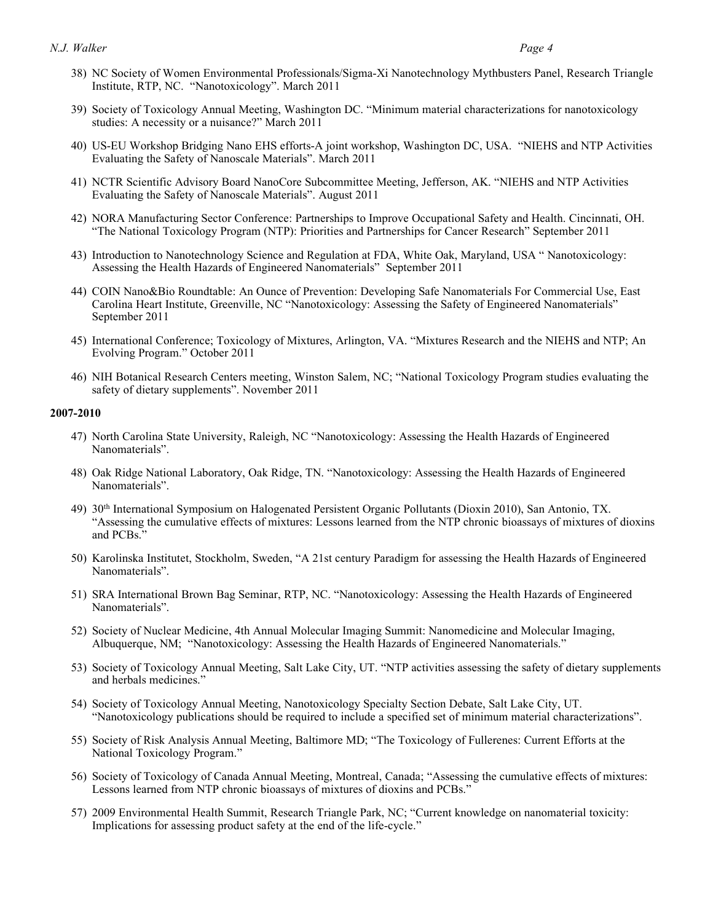- 38) NC Society of Women Environmental Professionals/Sigma-Xi Nanotechnology Mythbusters Panel, Research Triangle Institute, RTP, NC. "Nanotoxicology". March 2011
- 39) Society of Toxicology Annual Meeting, Washington DC. "Minimum material characterizations for nanotoxicology studies: A necessity or a nuisance?" March 2011
- 40) US-EU Workshop Bridging Nano EHS efforts-A joint workshop, Washington DC, USA. "NIEHS and NTP Activities Evaluating the Safety of Nanoscale Materials". March 2011
- 41) NCTR Scientific Advisory Board NanoCore Subcommittee Meeting, Jefferson, AK. "NIEHS and NTP Activities Evaluating the Safety of Nanoscale Materials". August 2011
- 42) NORA Manufacturing Sector Conference: Partnerships to Improve Occupational Safety and Health. Cincinnati, OH. "The National Toxicology Program (NTP): Priorities and Partnerships for Cancer Research" September 2011
- 43) Introduction to Nanotechnology Science and Regulation at FDA, White Oak, Maryland, USA " Nanotoxicology: Assessing the Health Hazards of Engineered Nanomaterials" September 2011
- 44) COIN Nano&Bio Roundtable: An Ounce of Prevention: Developing Safe Nanomaterials For Commercial Use, East Carolina Heart Institute, Greenville, NC "Nanotoxicology: Assessing the Safety of Engineered Nanomaterials" September 2011
- 45) International Conference; Toxicology of Mixtures, Arlington, VA. "Mixtures Research and the NIEHS and NTP; An Evolving Program." October 2011
- 46) NIH Botanical Research Centers meeting, Winston Salem, NC; "National Toxicology Program studies evaluating the safety of dietary supplements". November 2011

#### **2007-2010**

- 47) North Carolina State University, Raleigh, NC "Nanotoxicology: Assessing the Health Hazards of Engineered Nanomaterials".
- 48) Oak Ridge National Laboratory, Oak Ridge, TN. "Nanotoxicology: Assessing the Health Hazards of Engineered Nanomaterials".
- 49) 30th International Symposium on Halogenated Persistent Organic Pollutants (Dioxin 2010), San Antonio, TX. "Assessing the cumulative effects of mixtures: Lessons learned from the NTP chronic bioassays of mixtures of dioxins and PCBs."
- 50) Karolinska Institutet, Stockholm, Sweden, "A 21st century Paradigm for assessing the Health Hazards of Engineered Nanomaterials".
- 51) SRA International Brown Bag Seminar, RTP, NC. "Nanotoxicology: Assessing the Health Hazards of Engineered Nanomaterials".
- 52) Society of Nuclear Medicine, 4th Annual Molecular Imaging Summit: Nanomedicine and Molecular Imaging, Albuquerque, NM; "Nanotoxicology: Assessing the Health Hazards of Engineered Nanomaterials."
- 53) Society of Toxicology Annual Meeting, Salt Lake City, UT. "NTP activities assessing the safety of dietary supplements and herbals medicines."
- 54) Society of Toxicology Annual Meeting, Nanotoxicology Specialty Section Debate, Salt Lake City, UT. "Nanotoxicology publications should be required to include a specified set of minimum material characterizations".
- 55) Society of Risk Analysis Annual Meeting, Baltimore MD; "The Toxicology of Fullerenes: Current Efforts at the National Toxicology Program."
- 56) Society of Toxicology of Canada Annual Meeting, Montreal, Canada; "Assessing the cumulative effects of mixtures: Lessons learned from NTP chronic bioassays of mixtures of dioxins and PCBs."
- 57) 2009 Environmental Health Summit, Research Triangle Park, NC; "Current knowledge on nanomaterial toxicity: Implications for assessing product safety at the end of the life-cycle."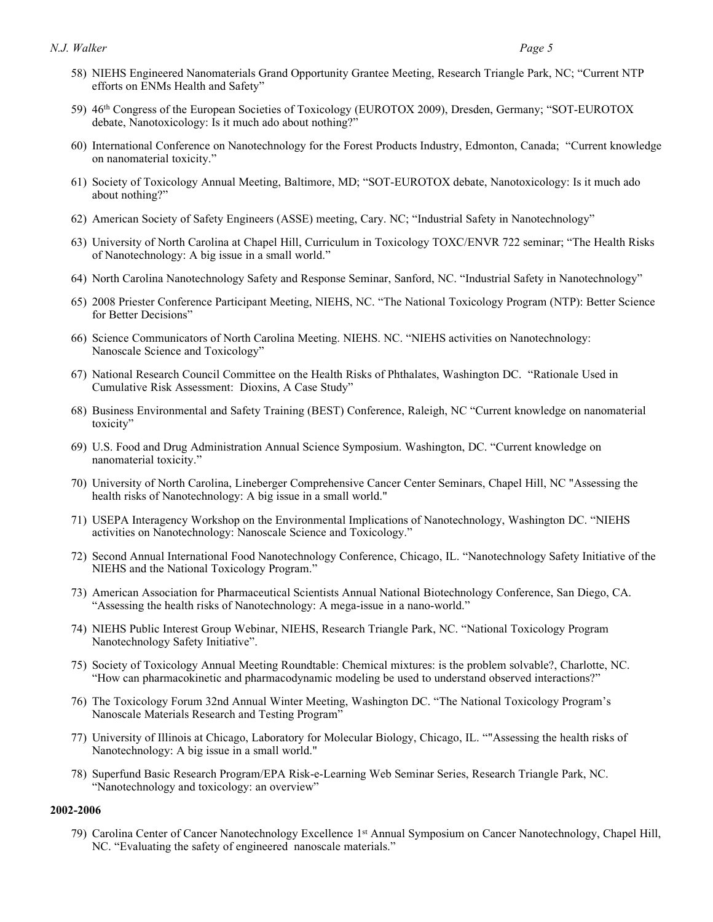- 58) NIEHS Engineered Nanomaterials Grand Opportunity Grantee Meeting, Research Triangle Park, NC; "Current NTP efforts on ENMs Health and Safety"
- 59) 46th Congress of the European Societies of Toxicology (EUROTOX 2009), Dresden, Germany; "SOT-EUROTOX debate, Nanotoxicology: Is it much ado about nothing?"
- 60) International Conference on Nanotechnology for the Forest Products Industry, Edmonton, Canada; "Current knowledge on nanomaterial toxicity."
- 61) Society of Toxicology Annual Meeting, Baltimore, MD; "SOT-EUROTOX debate, Nanotoxicology: Is it much ado about nothing?"
- 62) American Society of Safety Engineers (ASSE) meeting, Cary. NC; "Industrial Safety in Nanotechnology"
- 63) University of North Carolina at Chapel Hill, Curriculum in Toxicology TOXC/ENVR 722 seminar; "The Health Risks of Nanotechnology: A big issue in a small world."
- 64) North Carolina Nanotechnology Safety and Response Seminar, Sanford, NC. "Industrial Safety in Nanotechnology"
- 65) 2008 Priester Conference Participant Meeting, NIEHS, NC. "The National Toxicology Program (NTP): Better Science for Better Decisions"
- 66) Science Communicators of North Carolina Meeting. NIEHS. NC. "NIEHS activities on Nanotechnology: Nanoscale Science and Toxicology"
- 67) National Research Council Committee on the Health Risks of Phthalates, Washington DC. "Rationale Used in Cumulative Risk Assessment: Dioxins, A Case Study"
- 68) Business Environmental and Safety Training (BEST) Conference, Raleigh, NC "Current knowledge on nanomaterial toxicity"
- 69) U.S. Food and Drug Administration Annual Science Symposium. Washington, DC. "Current knowledge on nanomaterial toxicity."
- 70) University of North Carolina, Lineberger Comprehensive Cancer Center Seminars, Chapel Hill, NC "Assessing the health risks of Nanotechnology: A big issue in a small world."
- 71) USEPA Interagency Workshop on the Environmental Implications of Nanotechnology, Washington DC. "NIEHS activities on Nanotechnology: Nanoscale Science and Toxicology."
- 72) Second Annual International Food Nanotechnology Conference, Chicago, IL. "Nanotechnology Safety Initiative of the NIEHS and the National Toxicology Program."
- 73) American Association for Pharmaceutical Scientists Annual National Biotechnology Conference, San Diego, CA. "Assessing the health risks of Nanotechnology: A mega-issue in a nano-world."
- 74) NIEHS Public Interest Group Webinar, NIEHS, Research Triangle Park, NC. "National Toxicology Program Nanotechnology Safety Initiative".
- 75) Society of Toxicology Annual Meeting Roundtable: Chemical mixtures: is the problem solvable?, Charlotte, NC. "How can pharmacokinetic and pharmacodynamic modeling be used to understand observed interactions?"
- 76) The Toxicology Forum 32nd Annual Winter Meeting, Washington DC. "The National Toxicology Program's Nanoscale Materials Research and Testing Program"
- 77) University of Illinois at Chicago, Laboratory for Molecular Biology, Chicago, IL. ""Assessing the health risks of Nanotechnology: A big issue in a small world."
- 78) Superfund Basic Research Program/EPA Risk-e-Learning Web Seminar Series, Research Triangle Park, NC. "Nanotechnology and toxicology: an overview"

#### **2002-2006**

 79) Carolina Center of Cancer Nanotechnology Excellence 1st Annual Symposium on Cancer Nanotechnology, Chapel Hill, NC. "Evaluating the safety of engineered nanoscale materials."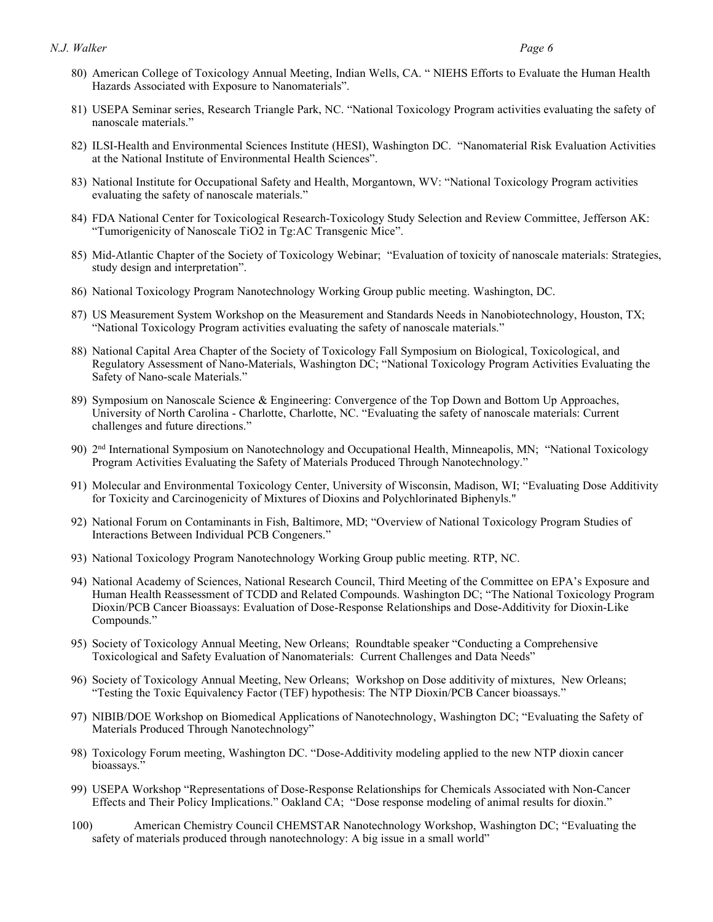- 80) American College of Toxicology Annual Meeting, Indian Wells, CA. " NIEHS Efforts to Evaluate the Human Health Hazards Associated with Exposure to Nanomaterials".
- 81) USEPA Seminar series, Research Triangle Park, NC. "National Toxicology Program activities evaluating the safety of nanoscale materials."
- 82) ILSI-Health and Environmental Sciences Institute (HESI), Washington DC. "Nanomaterial Risk Evaluation Activities at the National Institute of Environmental Health Sciences".
- 83) National Institute for Occupational Safety and Health, Morgantown, WV: "National Toxicology Program activities evaluating the safety of nanoscale materials."
- 84) FDA National Center for Toxicological Research-Toxicology Study Selection and Review Committee, Jefferson AK: "Tumorigenicity of Nanoscale TiO2 in Tg:AC Transgenic Mice".
- 85) Mid-Atlantic Chapter of the Society of Toxicology Webinar; "Evaluation of toxicity of nanoscale materials: Strategies, study design and interpretation".
- 86) National Toxicology Program Nanotechnology Working Group public meeting. Washington, DC.
- 87) US Measurement System Workshop on the Measurement and Standards Needs in Nanobiotechnology, Houston, TX; "National Toxicology Program activities evaluating the safety of nanoscale materials."
- 88) National Capital Area Chapter of the Society of Toxicology Fall Symposium on Biological, Toxicological, and Regulatory Assessment of Nano-Materials, Washington DC; "National Toxicology Program Activities Evaluating the Safety of Nano-scale Materials."
- 89) Symposium on Nanoscale Science & Engineering: Convergence of the Top Down and Bottom Up Approaches, University of North Carolina - Charlotte, Charlotte, NC. "Evaluating the safety of nanoscale materials: Current challenges and future directions."
- 90) 2<sup>nd</sup> International Symposium on Nanotechnology and Occupational Health, Minneapolis, MN; "National Toxicology Program Activities Evaluating the Safety of Materials Produced Through Nanotechnology."
- 91) Molecular and Environmental Toxicology Center, University of Wisconsin, Madison, WI; "Evaluating Dose Additivity for Toxicity and Carcinogenicity of Mixtures of Dioxins and Polychlorinated Biphenyls."
- 92) National Forum on Contaminants in Fish, Baltimore, MD; "Overview of National Toxicology Program Studies of Interactions Between Individual PCB Congeners."
- 93) National Toxicology Program Nanotechnology Working Group public meeting. RTP, NC.
- 94) National Academy of Sciences, National Research Council, Third Meeting of the Committee on EPA's Exposure and Human Health Reassessment of TCDD and Related Compounds. Washington DC; "The National Toxicology Program Dioxin/PCB Cancer Bioassays: Evaluation of Dose-Response Relationships and Dose-Additivity for Dioxin-Like Compounds."
- Compounds." 95) Society of Toxicology Annual Meeting, New Orleans; Roundtable speaker "Conducting a Comprehensive Toxicological and Safety Evaluation of Nanomaterials: Current Challenges and Data Needs"
- 96) Society of Toxicology Annual Meeting, New Orleans; Workshop on Dose additivity of mixtures, New Orleans; "Testing the Toxic Equivalency Factor (TEF) hypothesis: The NTP Dioxin/PCB Cancer bioassays."
- 97) NIBIB/DOE Workshop on Biomedical Applications of Nanotechnology, Washington DC; "Evaluating the Safety of Materials Produced Through Nanotechnology"
- 98) Toxicology Forum meeting, Washington DC. "Dose-Additivity modeling applied to the new NTP dioxin cancer bioassays.'
- 99) USEPA Workshop "Representations of Dose-Response Relationships for Chemicals Associated with Non-Cancer Effects and Their Policy Implications." Oakland CA; "Dose response modeling of animal results for dioxin."
- safety of materials produced through nanotechnology: A big issue in a small world" 100) American Chemistry Council CHEMSTAR Nanotechnology Workshop, Washington DC; "Evaluating the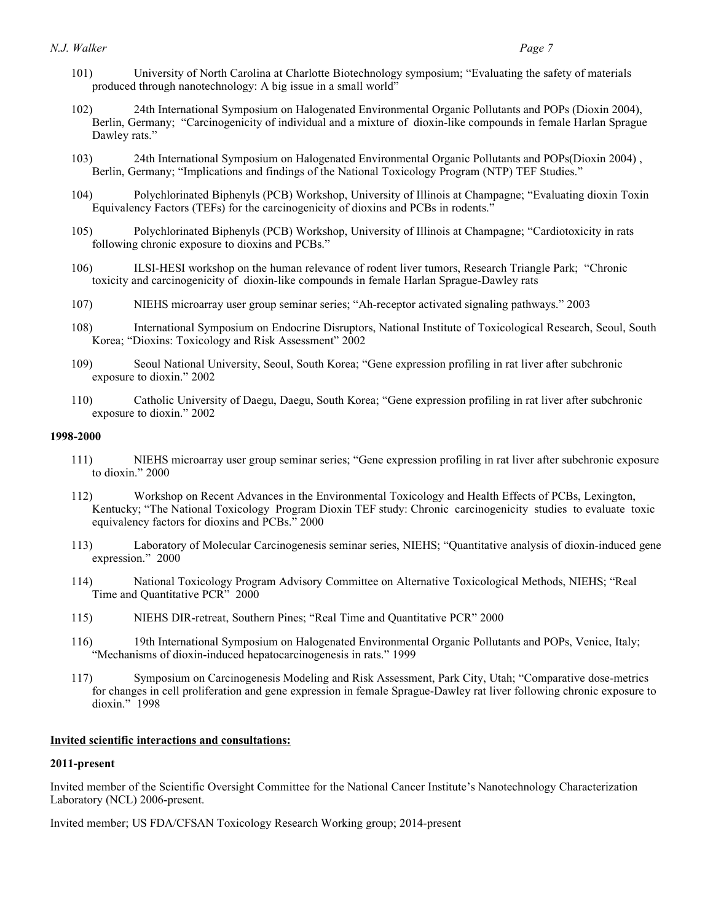#### *N.J. Walker N.J. Walker* Page 7 *Page 7*

- 101) University of North Carolina at Charlotte Biotechnology symposium; "Evaluating the safety of materials produced through nanotechnology: A big issue in a small world"
- 102) 24th International Symposium on Halogenated Environmental Organic Pollutants and POPs (Dioxin 2004), Berlin, Germany; "Carcinogenicity of individual and a mixture of dioxin-like compounds in female Harlan Sprague Dawley rats."
- 103) 24th International Symposium on Halogenated Environmental Organic Pollutants and POPs(Dioxin 2004) , Berlin, Germany; "Implications and findings of the National Toxicology Program (NTP) TEF Studies."
- 104) Polychlorinated Biphenyls (PCB) Workshop, University of Illinois at Champagne; "Evaluating dioxin Toxin Equivalency Factors (TEFs) for the carcinogenicity of dioxins and PCBs in rodents."
- 105) Polychlorinated Biphenyls (PCB) Workshop, University of Illinois at Champagne; "Cardiotoxicity in rats following chronic exposure to dioxins and PCBs."
- 106) ILSI-HESI workshop on the human relevance of rodent liver tumors, Research Triangle Park; "Chronic toxicity and carcinogenicity of dioxin-like compounds in female Harlan Sprague-Dawley rats
- 107) NIEHS microarray user group seminar series; "Ah-receptor activated signaling pathways." 2003
- 108) International Symposium on Endocrine Disruptors, National Institute of Toxicological Research, Seoul, South Korea; "Dioxins: Toxicology and Risk Assessment" 2002
- 109) Seoul National University, Seoul, South Korea; "Gene expression profiling in rat liver after subchronic exposure to dioxin." 2002
- 110) Catholic University of Daegu, Daegu, South Korea; "Gene expression profiling in rat liver after subchronic exposure to dioxin." 2002

### **1998-2000**

- 111) NIEHS microarray user group seminar series; "Gene expression profiling in rat liver after subchronic exposure to dioxin." 2000
- 112) Workshop on Recent Advances in the Environmental Toxicology and Health Effects of PCBs, Lexington, Kentucky; "The National Toxicology Program Dioxin TEF study: Chronic carcinogenicity studies to evaluate toxic equivalency factors for dioxins and PCBs." 2000
- 113) Laboratory of Molecular Carcinogenesis seminar series, NIEHS; "Quantitative analysis of dioxin-induced gene expression." 2000
- 114) National Toxicology Program Advisory Committee on Alternative Toxicological Methods, NIEHS; "Real Time and Quantitative PCR" 2000
- 115) NIEHS DIR-retreat, Southern Pines; "Real Time and Quantitative PCR" 2000
- 116) 19th International Symposium on Halogenated Environmental Organic Pollutants and POPs, Venice, Italy; "Mechanisms of dioxin-induced hepatocarcinogenesis in rats." 1999
- 117) Symposium on Carcinogenesis Modeling and Risk Assessment, Park City, Utah; "Comparative dose-metrics for changes in cell proliferation and gene expression in female Sprague-Dawley rat liver following chronic exposure to dioxin." 1998

#### **Invited scientific interactions and consultations:**

#### **2011-present**

 Invited member of the Scientific Oversight Committee for the National Cancer Institute's Nanotechnology Characterization Laboratory (NCL) 2006-present.

Invited member; US FDA/CFSAN Toxicology Research Working group; 2014-present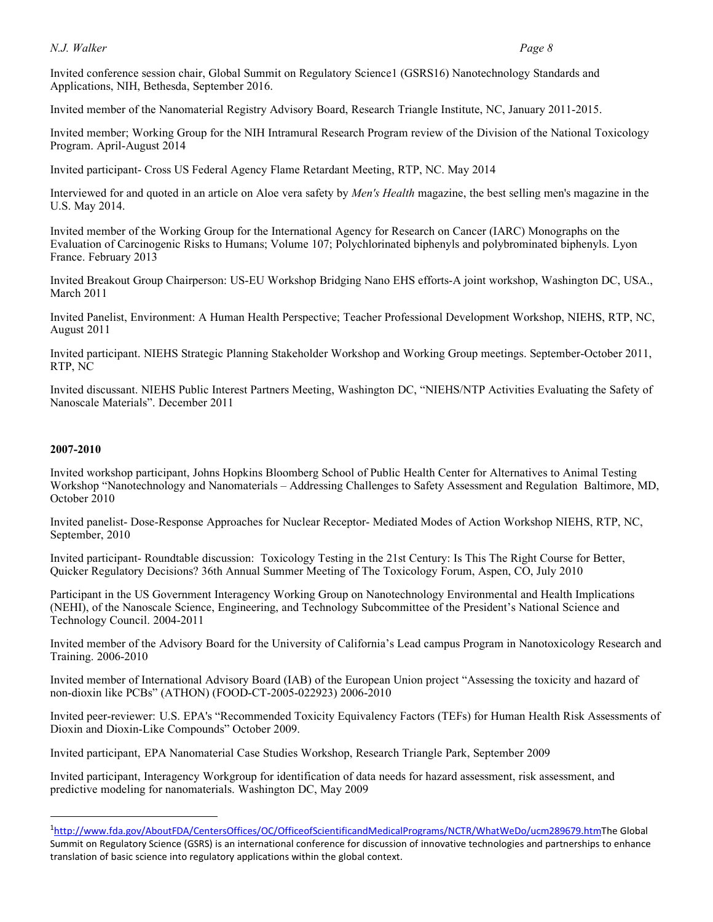#### *N.J. Walker N.J. Walker* Page 8 *Page 8*

 Invited conference session chair, Global Summit on Regulatory Science1 (GSRS16) Nanotechnology Standards and Applications, NIH, Bethesda, September 2016.

Invited member of the Nanomaterial Registry Advisory Board, Research Triangle Institute, NC, January 2011-2015.

 Invited member; Working Group for the NIH Intramural Research Program review of the Division of the National Toxicology Program. April-August 2014

Invited participant- Cross US Federal Agency Flame Retardant Meeting, RTP, NC. May 2014

 Interviewed for and quoted in an article on Aloe vera safety by *Men's Health* magazine, the best selling men's magazine in the U.S. May 2014.

 Invited member of the Working Group for the International Agency for Research on Cancer (IARC) Monographs on the Evaluation of Carcinogenic Risks to Humans; Volume 107; Polychlorinated biphenyls and polybrominated biphenyls. Lyon France. February 2013

 Invited Breakout Group Chairperson: US-EU Workshop Bridging Nano EHS efforts-A joint workshop, Washington DC, USA., March 2011

 Invited Panelist, Environment: A Human Health Perspective; Teacher Professional Development Workshop, NIEHS, RTP, NC, August 2011

 Invited participant. NIEHS Strategic Planning Stakeholder Workshop and Working Group meetings. September-October 2011, RTP, NC

 Invited discussant. NIEHS Public Interest Partners Meeting, Washington DC, "NIEHS/NTP Activities Evaluating the Safety of Nanoscale Materials". December 2011

#### **2007-2010**

1

 Invited workshop participant, Johns Hopkins Bloomberg School of Public Health Center for Alternatives to Animal Testing Workshop "Nanotechnology and Nanomaterials – Addressing Challenges to Safety Assessment and Regulation Baltimore, MD, October 2010

 Invited panelist- Dose-Response Approaches for Nuclear Receptor- Mediated Modes of Action Workshop NIEHS, RTP, NC, September, 2010

 Invited participant- Roundtable discussion: Toxicology Testing in the 21st Century: Is This The Right Course for Better, Quicker Regulatory Decisions? 36th Annual Summer Meeting of The Toxicology Forum, Aspen, CO, July 2010

 Participant in the US Government Interagency Working Group on Nanotechnology Environmental and Health Implications (NEHI), of the Nanoscale Science, Engineering, and Technology Subcommittee of the President's National Science and Technology Council. 2004-2011

 Invited member of the Advisory Board for the University of California's Lead campus Program in Nanotoxicology Research and Training. 2006-2010

 Invited member of International Advisory Board (IAB) of the European Union project "Assessing the toxicity and hazard of non-dioxin like PCBs" (ATHON) (FOOD-CT-2005-022923) 2006-2010

 Invited peer-reviewer: U.S. EPA's "Recommended Toxicity Equivalency Factors (TEFs) for Human Health Risk Assessments of Dioxin and Dioxin-Like Compounds" October 2009.

Invited participant, EPA Nanomaterial Case Studies Workshop, Research Triangle Park, September 2009

 Invited participant, Interagency Workgroup for identification of data needs for hazard assessment, risk assessment, and predictive modeling for nanomaterials. Washington DC, May 2009

 1 [http://www.fda.gov/AboutFDA/CentersOffices/OC/OfficeofScientificandMedicalPrograms/NCTR/WhatWeDo/ucm289679.htmThe](https://1http://www.fda.gov/AboutFDA/CentersOffices/OC/OfficeofScientificandMedicalPrograms/NCTR/WhatWeDo/ucm289679.htmThe) Global Summit on Regulatory Science (GSRS) is an international conference for discussion of innovative technologies and partnerships to enhance translation of basic science into regulatory applications within the global context.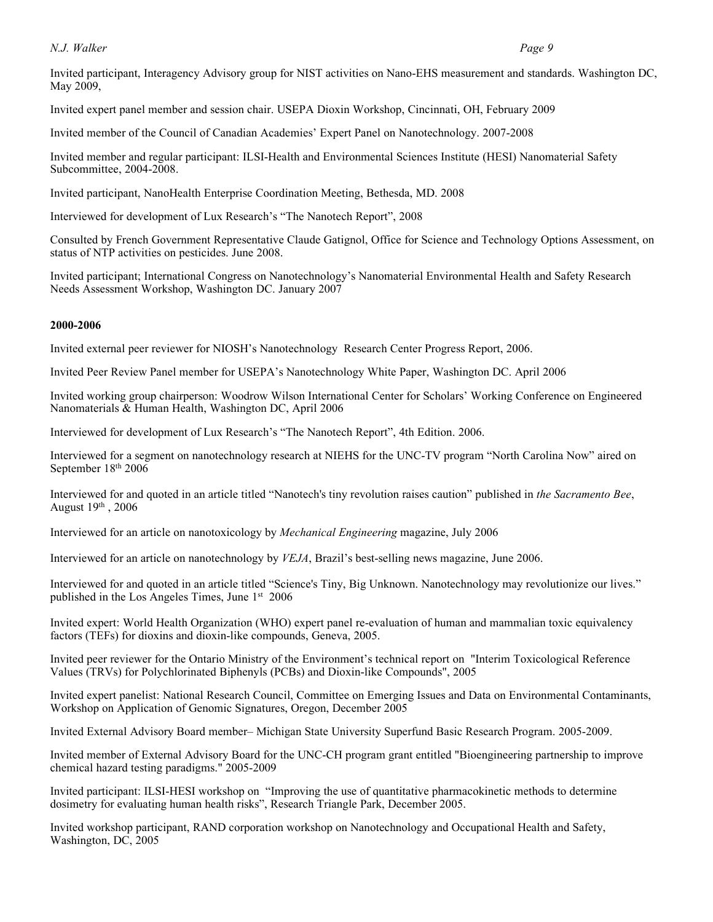#### *N.J. Walker N.J. Walker Page 9*

 Invited participant, Interagency Advisory group for NIST activities on Nano-EHS measurement and standards. Washington DC, May 2009,

Invited expert panel member and session chair. USEPA Dioxin Workshop, Cincinnati, OH, February 2009

Invited member of the Council of Canadian Academies' Expert Panel on Nanotechnology. 2007-2008

 Invited member and regular participant: ILSI-Health and Environmental Sciences Institute (HESI) Nanomaterial Safety Subcommittee, 2004-2008.

Invited participant, NanoHealth Enterprise Coordination Meeting, Bethesda, MD. 2008

Interviewed for development of Lux Research's "The Nanotech Report", 2008

 Consulted by French Government Representative Claude Gatignol, Office for Science and Technology Options Assessment, on status of NTP activities on pesticides. June 2008.

 Invited participant; International Congress on Nanotechnology's Nanomaterial Environmental Health and Safety Research Needs Assessment Workshop, Washington DC. January 2007

#### **2000-2006**

Invited external peer reviewer for NIOSH's Nanotechnology Research Center Progress Report, 2006.

Invited Peer Review Panel member for USEPA's Nanotechnology White Paper, Washington DC. April 2006

 Invited working group chairperson: Woodrow Wilson International Center for Scholars' Working Conference on Engineered Nanomaterials & Human Health, Washington DC, April 2006

Interviewed for development of Lux Research's "The Nanotech Report", 4th Edition. 2006.

 Interviewed for a segment on nanotechnology research at NIEHS for the UNC-TV program "North Carolina Now" aired on September 18th 2006

 Interviewed for and quoted in an article titled "Nanotech's tiny revolution raises caution" published in *the Sacramento Bee*, August  $19<sup>th</sup>$ , 2006

Interviewed for an article on nanotoxicology by *Mechanical Engineering* magazine, July 2006

Interviewed for an article on nanotechnology by *VEJA*, Brazil's best-selling news magazine, June 2006.

 Interviewed for and quoted in an article titled "Science's Tiny, Big Unknown. Nanotechnology may revolutionize our lives." published in the Los Angeles Times, June 1<sup>st</sup> 2006

 Invited expert: World Health Organization (WHO) expert panel re-evaluation of human and mammalian toxic equivalency factors (TEFs) for dioxins and dioxin-like compounds, Geneva, 2005.

 Invited peer reviewer for the Ontario Ministry of the Environment's technical report on "Interim Toxicological Reference Values (TRVs) for Polychlorinated Biphenyls (PCBs) and Dioxin-like Compounds", 2005

 Invited expert panelist: National Research Council, Committee on Emerging Issues and Data on Environmental Contaminants, Workshop on Application of Genomic Signatures, Oregon, December 2005

Invited External Advisory Board member– Michigan State University Superfund Basic Research Program. 2005-2009.

 Invited member of External Advisory Board for the UNC-CH program grant entitled "Bioengineering partnership to improve chemical hazard testing paradigms." 2005-2009

 Invited participant: ILSI-HESI workshop on "Improving the use of quantitative pharmacokinetic methods to determine dosimetry for evaluating human health risks", Research Triangle Park, December 2005.

 Invited workshop participant, RAND corporation workshop on Nanotechnology and Occupational Health and Safety, Washington, DC, 2005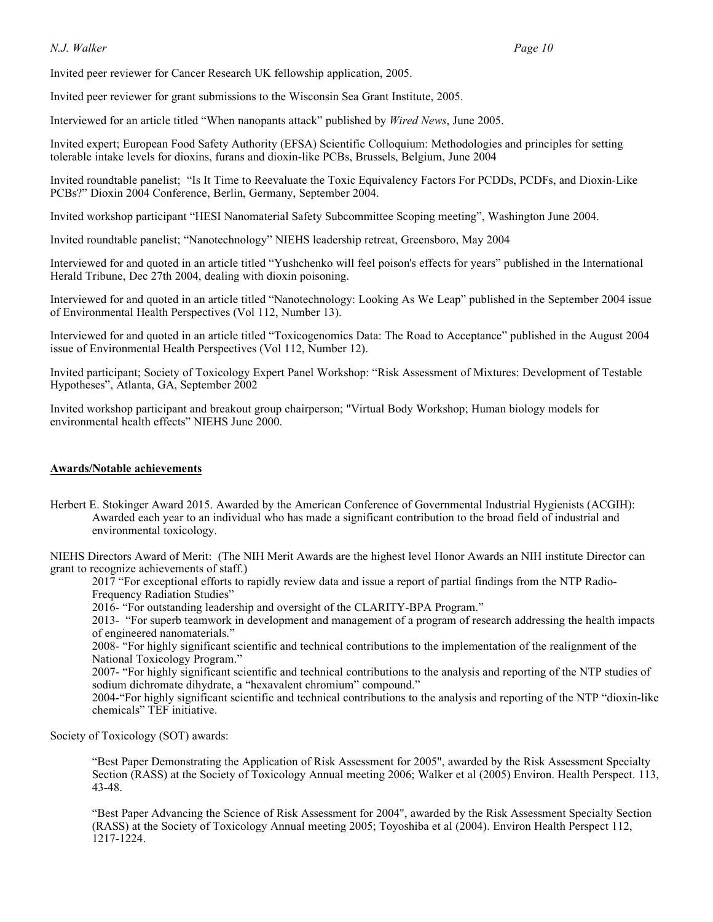#### *N.J. Walker N.J. Walker Page 10*

Invited peer reviewer for Cancer Research UK fellowship application, 2005.

Invited peer reviewer for grant submissions to the Wisconsin Sea Grant Institute, 2005.

Interviewed for an article titled "When nanopants attack" published by *Wired News*, June 2005.

 Invited expert; European Food Safety Authority (EFSA) Scientific Colloquium: Methodologies and principles for setting tolerable intake levels for dioxins, furans and dioxin-like PCBs, Brussels, Belgium, June 2004

 Invited roundtable panelist; "Is It Time to Reevaluate the Toxic Equivalency Factors For PCDDs, PCDFs, and Dioxin-Like PCBs?" Dioxin 2004 Conference, Berlin, Germany, September 2004.

Invited workshop participant "HESI Nanomaterial Safety Subcommittee Scoping meeting", Washington June 2004.

Invited roundtable panelist; "Nanotechnology" NIEHS leadership retreat, Greensboro, May 2004

 Interviewed for and quoted in an article titled "Yushchenko will feel poison's effects for years" published in the International Herald Tribune, Dec 27th 2004, dealing with dioxin poisoning.

 Interviewed for and quoted in an article titled "Nanotechnology: Looking As We Leap" published in the September 2004 issue of Environmental Health Perspectives (Vol 112, Number 13).

 Interviewed for and quoted in an article titled "Toxicogenomics Data: The Road to Acceptance" published in the August 2004 issue of Environmental Health Perspectives (Vol 112, Number 12).

 Invited participant; Society of Toxicology Expert Panel Workshop: "Risk Assessment of Mixtures: Development of Testable Hypotheses", Atlanta, GA, September 2002

 Invited workshop participant and breakout group chairperson; "Virtual Body Workshop; Human biology models for environmental health effects" NIEHS June 2000.

#### **Awards/Notable achievements**

 Herbert E. Stokinger Award 2015. Awarded by the American Conference of Governmental Industrial Hygienists (ACGIH): Awarded each year to an individual who has made a significant contribution to the broad field of industrial and environmental toxicology.

 NIEHS Directors Award of Merit: (The NIH Merit Awards are the highest level Honor Awards an NIH institute Director can grant to recognize achievements of staff.)

 2017 "For exceptional efforts to rapidly review data and issue a report of partial findings from the NTP Radio-Frequency Radiation Studies"

2016- "For outstanding leadership and oversight of the CLARITY-BPA Program."

 2013- "For superb teamwork in development and management of a program of research addressing the health impacts of engineered nanomaterials."

 2008- "For highly significant scientific and technical contributions to the implementation of the realignment of the National Toxicology Program."

 2007- "For highly significant scientific and technical contributions to the analysis and reporting of the NTP studies of sodium dichromate dihydrate, a "hexavalent chromium" compound."

 2004-"For highly significant scientific and technical contributions to the analysis and reporting of the NTP "dioxin-like chemicals" TEF initiative.

Society of Toxicology (SOT) awards:

 "Best Paper Demonstrating the Application of Risk Assessment for 2005", awarded by the Risk Assessment Specialty Section (RASS) at the Society of Toxicology Annual meeting 2006; Walker et al (2005) Environ. Health Perspect. 113,  $43 - 48$ .

43-48.<br>"Best Paper Advancing the Science of Risk Assessment for 2004", awarded by the Risk Assessment Specialty Section (RASS) at the Society of Toxicology Annual meeting 2005; Toyoshiba et al (2004). Environ Health Perspect 112, 1217-1224.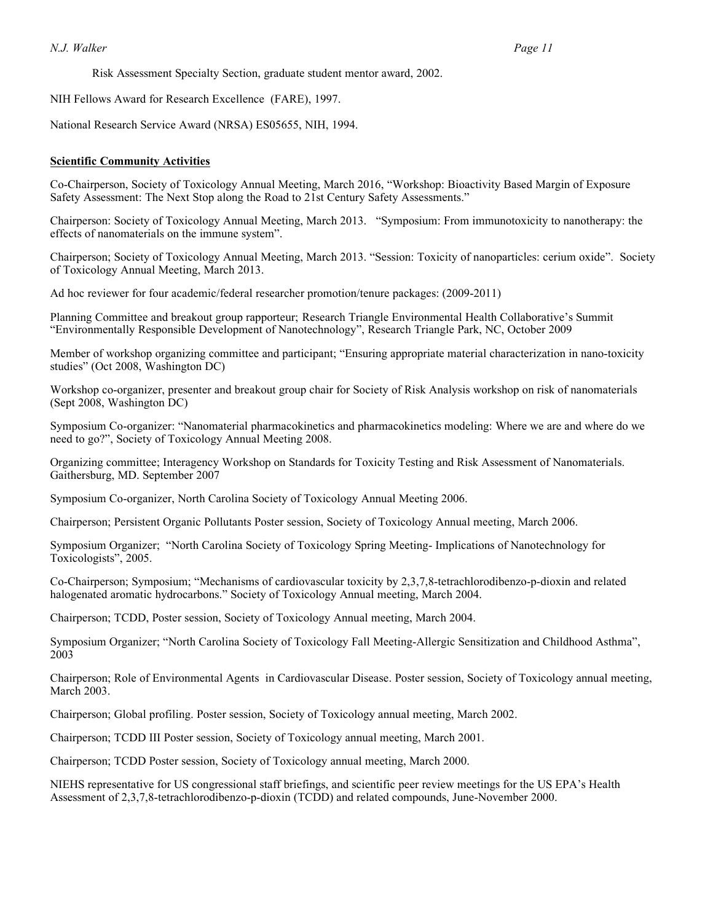Risk Assessment Specialty Section, graduate student mentor award, 2002.

NIH Fellows Award for Research Excellence (FARE), 1997.

National Research Service Award (NRSA) ES05655, NIH, 1994.

#### **Scientific Community Activities**

 Co-Chairperson, Society of Toxicology Annual Meeting, March 2016, "Workshop: Bioactivity Based Margin of Exposure Safety Assessment: The Next Stop along the Road to 21st Century Safety Assessments."

 Chairperson: Society of Toxicology Annual Meeting, March 2013. "Symposium: From immunotoxicity to nanotherapy: the effects of nanomaterials on the immune system".

 Chairperson; Society of Toxicology Annual Meeting, March 2013. "Session: Toxicity of nanoparticles: cerium oxide". Society of Toxicology Annual Meeting, March 2013.

Ad hoc reviewer for four academic/federal researcher promotion/tenure packages: (2009-2011)

 Planning Committee and breakout group rapporteur; Research Triangle Environmental Health Collaborative's Summit "Environmentally Responsible Development of Nanotechnology", Research Triangle Park, NC, October 2009

 Member of workshop organizing committee and participant; "Ensuring appropriate material characterization in nano-toxicity studies" (Oct 2008, Washington DC)

 Workshop co-organizer, presenter and breakout group chair for Society of Risk Analysis workshop on risk of nanomaterials (Sept 2008, Washington DC)

 Symposium Co-organizer: "Nanomaterial pharmacokinetics and pharmacokinetics modeling: Where we are and where do we need to go?", Society of Toxicology Annual Meeting 2008.

 Organizing committee; Interagency Workshop on Standards for Toxicity Testing and Risk Assessment of Nanomaterials. Gaithersburg, MD. September 2007

Symposium Co-organizer, North Carolina Society of Toxicology Annual Meeting 2006.

Chairperson; Persistent Organic Pollutants Poster session, Society of Toxicology Annual meeting, March 2006.

 Symposium Organizer; "North Carolina Society of Toxicology Spring Meeting- Implications of Nanotechnology for Toxicologists", 2005.

 Co-Chairperson; Symposium; "Mechanisms of cardiovascular toxicity by 2,3,7,8-tetrachlorodibenzo-p-dioxin and related halogenated aromatic hydrocarbons." Society of Toxicology Annual meeting, March 2004.

Chairperson; TCDD, Poster session, Society of Toxicology Annual meeting, March 2004.

 Symposium Organizer; "North Carolina Society of Toxicology Fall Meeting-Allergic Sensitization and Childhood Asthma", 2003

 Chairperson; Role of Environmental Agents in Cardiovascular Disease. Poster session, Society of Toxicology annual meeting, March 2003. March 2003.<br>Chairperson; Global profiling. Poster session, Society of Toxicology annual meeting, March 2002.

Chairperson; TCDD III Poster session, Society of Toxicology annual meeting, March 2001.

Chairperson; TCDD Poster session, Society of Toxicology annual meeting, March 2000.

 NIEHS representative for US congressional staff briefings, and scientific peer review meetings for the US EPA's Health Assessment of 2,3,7,8-tetrachlorodibenzo-p-dioxin (TCDD) and related compounds, June-November 2000.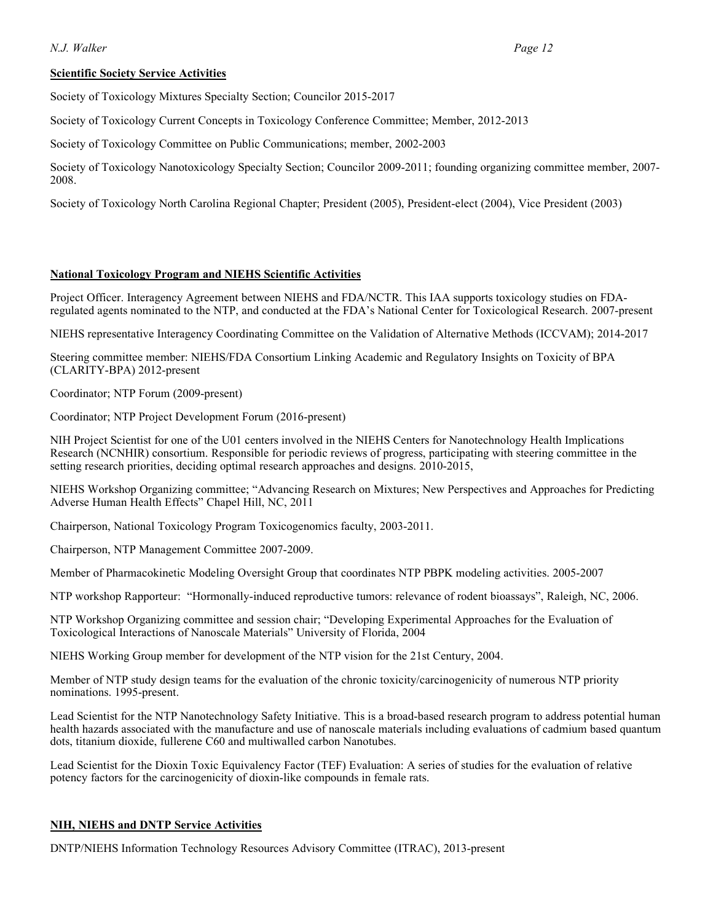## **Scientific Society Service Activities**

Society of Toxicology Mixtures Specialty Section; Councilor 2015-2017

Society of Toxicology Current Concepts in Toxicology Conference Committee; Member, 2012-2013

Society of Toxicology Committee on Public Communications; member, 2002-2003

 Society of Toxicology Nanotoxicology Specialty Section; Councilor 2009-2011; founding organizing committee member, 2007- 2008.

Society of Toxicology North Carolina Regional Chapter; President (2005), President-elect (2004), Vice President (2003)

#### **National Toxicology Program and NIEHS Scientific Activities**

 Project Officer. Interagency Agreement between NIEHS and FDA/NCTR. This IAA supports toxicology studies on FDA-regulated agents nominated to the NTP, and conducted at the FDA's National Center for Toxicological Research. 2007-present

NIEHS representative Interagency Coordinating Committee on the Validation of Alternative Methods (ICCVAM); 2014-2017

 Steering committee member: NIEHS/FDA Consortium Linking Academic and Regulatory Insights on Toxicity of BPA (CLARITY-BPA) 2012-present

Coordinator; NTP Forum (2009-present)

Coordinator; NTP Project Development Forum (2016-present)

 NIH Project Scientist for one of the U01 centers involved in the NIEHS Centers for Nanotechnology Health Implications Research (NCNHIR) consortium. Responsible for periodic reviews of progress, participating with steering committee in the setting research priorities, deciding optimal research approaches and designs. 2010-2015,

 NIEHS Workshop Organizing committee; "Advancing Research on Mixtures; New Perspectives and Approaches for Predicting Adverse Human Health Effects" Chapel Hill, NC, 2011

Chairperson, National Toxicology Program Toxicogenomics faculty, 2003-2011.

Chairperson, NTP Management Committee 2007-2009.

Member of Pharmacokinetic Modeling Oversight Group that coordinates NTP PBPK modeling activities. 2005-2007

NTP workshop Rapporteur: "Hormonally-induced reproductive tumors: relevance of rodent bioassays", Raleigh, NC, 2006.

 NTP Workshop Organizing committee and session chair; "Developing Experimental Approaches for the Evaluation of Toxicological Interactions of Nanoscale Materials" University of Florida, 2004

NIEHS Working Group member for development of the NTP vision for the 21st Century, 2004.

 Member of NTP study design teams for the evaluation of the chronic toxicity/carcinogenicity of numerous NTP priority nominations. 1995-present.

nominations. 1995-present.<br>Lead Scientist for the NTP Nanotechnology Safety Initiative. This is a broad-based research program to address potential human health hazards associated with the manufacture and use of nanoscale materials including evaluations of cadmium based quantum dots, titanium dioxide, fullerene C60 and multiwalled carbon Nanotubes.

 Lead Scientist for the Dioxin Toxic Equivalency Factor (TEF) Evaluation: A series of studies for the evaluation of relative potency factors for the carcinogenicity of dioxin-like compounds in female rats.

#### **NIH, NIEHS and DNTP Service Activities**

DNTP/NIEHS Information Technology Resources Advisory Committee (ITRAC), 2013-present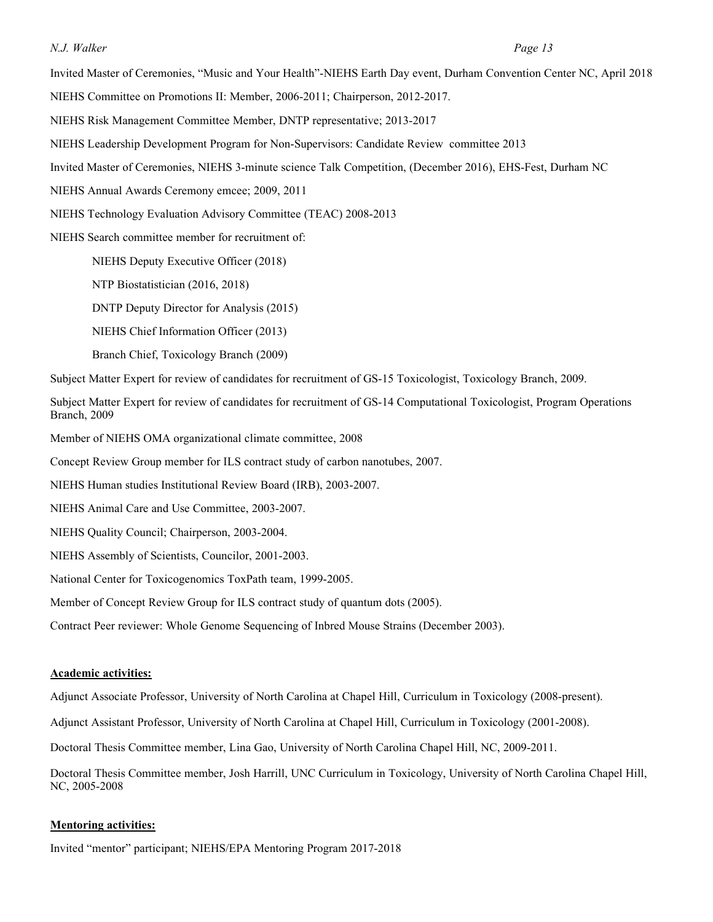Invited Master of Ceremonies, "Music and Your Health"-NIEHS Earth Day event, Durham Convention Center NC, April 2018

NIEHS Committee on Promotions II: Member, 2006-2011; Chairperson, 2012-2017.

- NIEHS Risk Management Committee Member, DNTP representative; 2013-2017
- NIEHS Leadership Development Program for Non-Supervisors: Candidate Review committee 2013
- Invited Master of Ceremonies, NIEHS 3-minute science Talk Competition, (December 2016), EHS-Fest, Durham NC
- NIEHS Annual Awards Ceremony emcee; 2009, 2011
- NIEHS Technology Evaluation Advisory Committee (TEAC) 2008-2013

NIEHS Search committee member for recruitment of:

NIEHS Deputy Executive Officer (2018)

NTP Biostatistician (2016, 2018)

DNTP Deputy Director for Analysis (2015)

NIEHS Chief Information Officer (2013)

Branch Chief, Toxicology Branch (2009)

Subject Matter Expert for review of candidates for recruitment of GS-15 Toxicologist, Toxicology Branch, 2009.

 Subject Matter Expert for review of candidates for recruitment of GS-14 Computational Toxicologist, Program Operations Branch, 2009

Member of NIEHS OMA organizational climate committee, 2008

Concept Review Group member for ILS contract study of carbon nanotubes, 2007.

NIEHS Human studies Institutional Review Board (IRB), 2003-2007.

NIEHS Animal Care and Use Committee, 2003-2007.

NIEHS Quality Council; Chairperson, 2003-2004.

NIEHS Assembly of Scientists, Councilor, 2001-2003.

National Center for Toxicogenomics ToxPath team, 1999-2005.

Member of Concept Review Group for ILS contract study of quantum dots (2005).

Contract Peer reviewer: Whole Genome Sequencing of Inbred Mouse Strains (December 2003).

#### **Academic activities:**

Adjunct Associate Professor, University of North Carolina at Chapel Hill, Curriculum in Toxicology (2008-present).

Adjunct Assistant Professor, University of North Carolina at Chapel Hill, Curriculum in Toxicology (2001-2008).

Doctoral Thesis Committee member, Lina Gao, University of North Carolina Chapel Hill, NC, 2009-2011.

 Doctoral Thesis Committee member, Josh Harrill, UNC Curriculum in Toxicology, University of North Carolina Chapel Hill, NC, 2005-2008

#### **Mentoring activities:**

Invited "mentor" participant; NIEHS/EPA Mentoring Program 2017-2018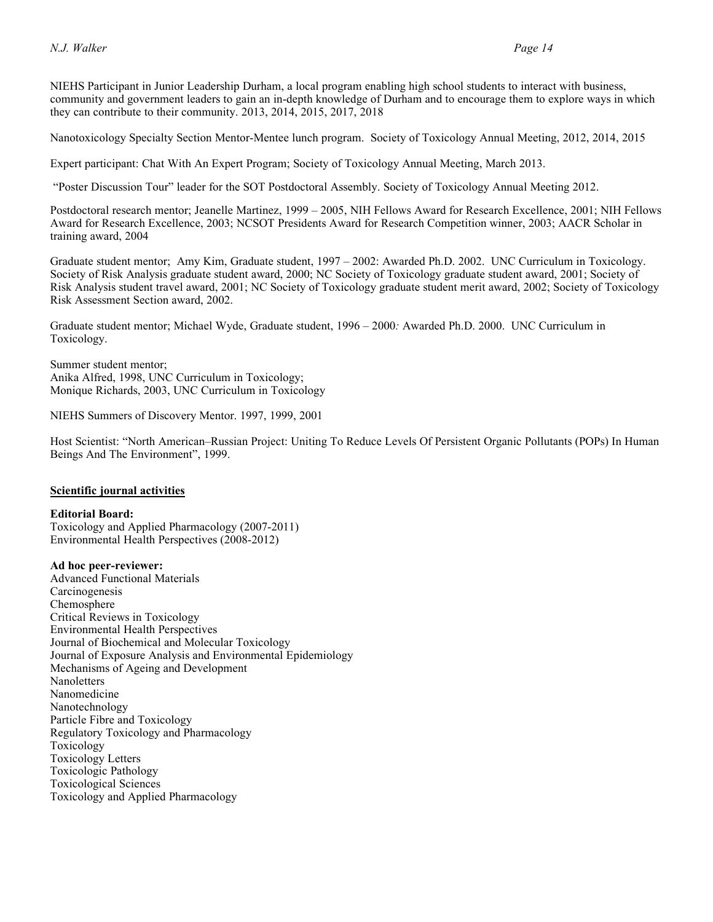NIEHS Participant in Junior Leadership Durham, a local program enabling high school students to interact with business, community and government leaders to gain an in-depth knowledge of Durham and to encourage them to explore ways in which they can contribute to their community. 2013, 2014, 2015, 2017, 2018

Nanotoxicology Specialty Section Mentor-Mentee lunch program. Society of Toxicology Annual Meeting, 2012, 2014, 2015

Expert participant: Chat With An Expert Program; Society of Toxicology Annual Meeting, March 2013.

"Poster Discussion Tour" leader for the SOT Postdoctoral Assembly. Society of Toxicology Annual Meeting 2012.

 Postdoctoral research mentor; Jeanelle Martinez, 1999 – 2005, NIH Fellows Award for Research Excellence, 2001; NIH Fellows Award for Research Excellence, 2003; NCSOT Presidents Award for Research Competition winner, 2003; AACR Scholar in training award, 2004

 Graduate student mentor; Amy Kim, Graduate student, 1997 – 2002: Awarded Ph.D. 2002. UNC Curriculum in Toxicology. Society of Risk Analysis graduate student award, 2000; NC Society of Toxicology graduate student award, 2001; Society of Risk Analysis student travel award, 2001; NC Society of Toxicology graduate student merit award, 2002; Society of Toxicology Risk Assessment Section award, 2002.

 Graduate student mentor; Michael Wyde, Graduate student, 1996 – 2000*:* Awarded Ph.D. 2000. UNC Curriculum in Toxicology. Toxicology. Summer student mentor;

 Anika Alfred, 1998, UNC Curriculum in Toxicology; Monique Richards, 2003, UNC Curriculum in Toxicology

NIEHS Summers of Discovery Mentor. 1997, 1999, 2001

 Host Scientist: "North American–Russian Project: Uniting To Reduce Levels Of Persistent Organic Pollutants (POPs) In Human Beings And The Environment", 1999.

#### **Scientific journal activities**

#### **Editorial Board:**

Toxicology and Applied Pharmacology (2007-2011) Environmental Health Perspectives (2008-2012)

 **Ad hoc peer-reviewer:**  Advanced Functional Materials Carcinogenesis Critical Reviews in Toxicology Journal of Biochemical and Molecular Toxicology Journal of Exposure Analysis and Environmental Epidemiology Mechanisms of Ageing and Development Particle Fibre and Toxicology Toxicologic Pathology Toxicological Sciences Chemosphere Environmental Health Perspectives Nanoletters Nanomedicine Nanotechnology Regulatory Toxicology and Pharmacology Toxicology Toxicology Letters Toxicology and Applied Pharmacology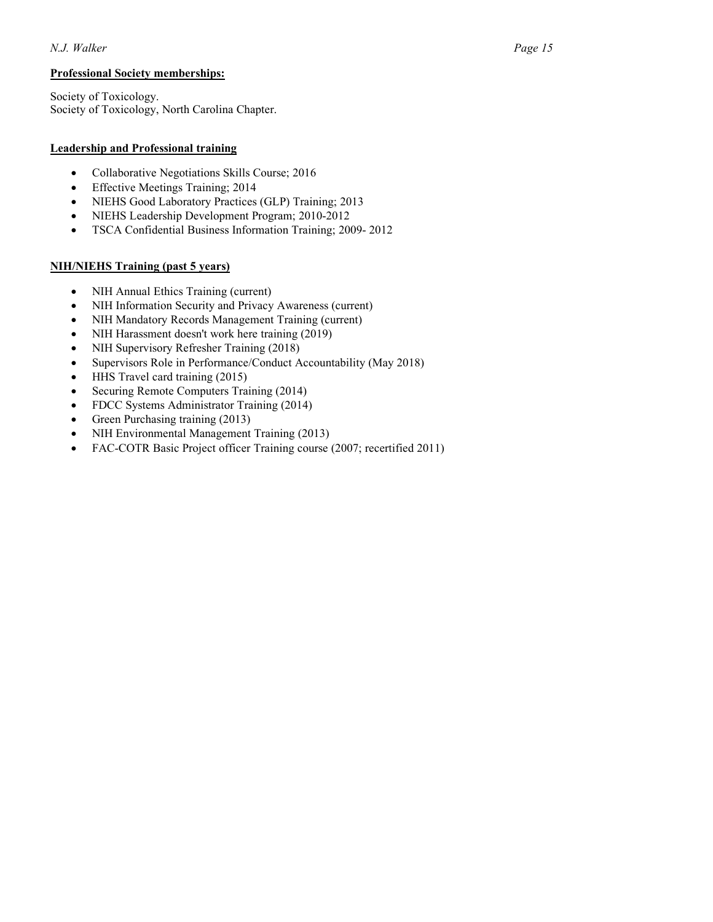### **Professional Society memberships:**

 Society of Toxicology. Society of Toxicology, North Carolina Chapter.

### **Leadership and Professional training**

- Collaborative Negotiations Skills Course; 2016
- Effective Meetings Training; 2014
- NIEHS Good Laboratory Practices (GLP) Training; 2013
- NIEHS Leadership Development Program; 2010-2012
- TSCA Confidential Business Information Training; 2009- 2012

## **NIH/NIEHS Training (past 5 years)**

- NIH Annual Ethics Training (current)
- NIH Information Security and Privacy Awareness (current)
- NIH Mandatory Records Management Training (current)
- NIH Harassment doesn't work here training (2019)
- NIH Supervisory Refresher Training (2018)
- Supervisors Role in Performance/Conduct Accountability (May 2018)
- HHS Travel card training (2015)
- Securing Remote Computers Training (2014)
- FDCC Systems Administrator Training (2014)
- Green Purchasing training (2013)
- NIH Environmental Management Training (2013)
- FAC-COTR Basic Project officer Training course (2007; recertified 2011)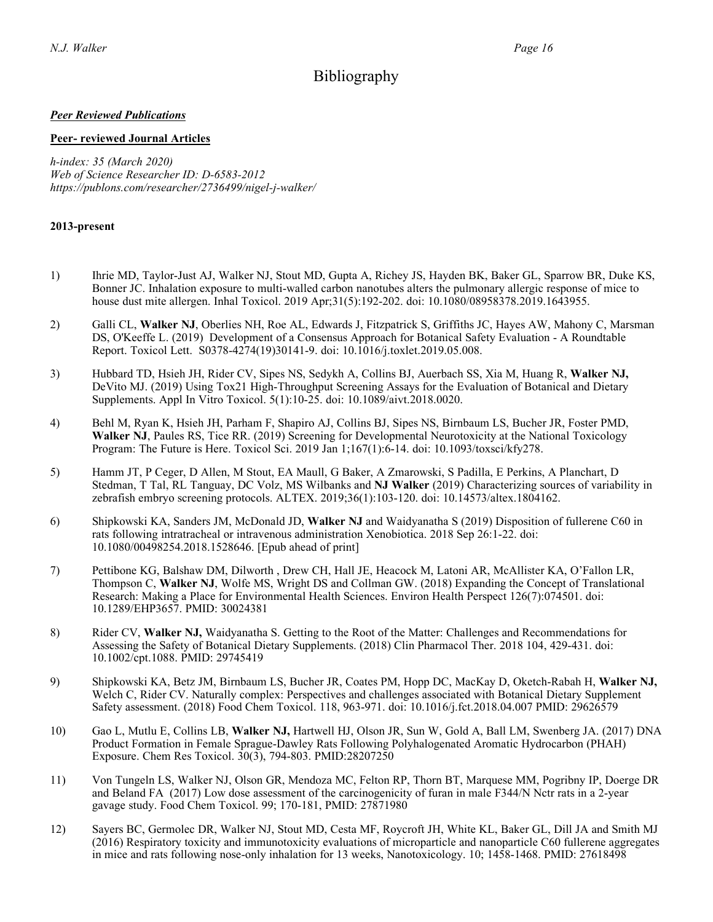# Bibliography

## *Peer Reviewed Publications*

### **Peer- reviewed Journal Articles**

 *Web of Science Researcher ID: D-6583-2012 h-index: 35 (March 2020) [https://publons.com/researcher/2736499/nigel-j-walker/](https://publons.com/researcher/2736499/nigel-j-walker)* 

## **2013-present**

- 1) Ihrie MD, Taylor-Just AJ, Walker NJ, Stout MD, Gupta A, Richey JS, Hayden BK, Baker GL, Sparrow BR, Duke KS, Bonner JC. Inhalation exposure to multi-walled carbon nanotubes alters the pulmonary allergic response of mice to house dust mite allergen. Inhal Toxicol. 2019 Apr;31(5):192-202. doi: 10.1080/08958378.2019.1643955.
- 2) Galli CL, **Walker NJ**, Oberlies NH, Roe AL, Edwards J, Fitzpatrick S, Griffiths JC, Hayes AW, Mahony C, Marsman DS, O'Keeffe L. (2019) Development of a Consensus Approach for Botanical Safety Evaluation - A Roundtable Report. Toxicol Lett. S0378-4274(19)30141-9. doi: 10.1016/j.toxlet.2019.05.008.
- 3) Hubbard TD, Hsieh JH, Rider CV, Sipes NS, Sedykh A, Collins BJ, Auerbach SS, Xia M, Huang R, **Walker NJ,**  DeVito MJ. (2019) Using Tox21 High-Throughput Screening Assays for the Evaluation of Botanical and Dietary Supplements. Appl In Vitro Toxicol. 5(1):10-25. doi: 10.1089/aivt.2018.0020.
- 4) Behl M, Ryan K, Hsieh JH, Parham F, Shapiro AJ, Collins BJ, Sipes NS, Birnbaum LS, Bucher JR, Foster PMD, **Walker NJ**, Paules RS, Tice RR. (2019) Screening for Developmental Neurotoxicity at the National Toxicology Program: The Future is Here. Toxicol Sci. 2019 Jan 1;167(1):6-14. doi: 10.1093/toxsci/kfy278.
- 5) Hamm JT, P Ceger, D Allen, M Stout, EA Maull, G Baker, A Zmarowski, S Padilla, E Perkins, A Planchart, D Stedman, T Tal, RL Tanguay, DC Volz, MS Wilbanks and **NJ Walker** (2019) Characterizing sources of variability in zebrafish embryo screening protocols. ALTEX. 2019;36(1):103-120. doi: 10.14573/altex.1804162.
- 6) Shipkowski KA, Sanders JM, McDonald JD, **Walker NJ** and Waidyanatha S (2019) Disposition of fullerene C60 in rats following intratracheal or intravenous administration Xenobiotica. 2018 Sep 26:1-22. doi: 10.1080/00498254.2018.1528646. [Epub ahead of print]
- 7) Pettibone KG, Balshaw DM, Dilworth , Drew CH, Hall JE, Heacock M, Latoni AR, McAllister KA, O'Fallon LR, Thompson C, **Walker NJ**, Wolfe MS, Wright DS and Collman GW. (2018) Expanding the Concept of Translational Research: Making a Place for Environmental Health Sciences. Environ Health Perspect 126(7):074501. doi: 10.1289/EHP3657. PMID: 30024381
- 8) Rider CV, **Walker NJ,** Waidyanatha S. Getting to the Root of the Matter: Challenges and Recommendations for Assessing the Safety of Botanical Dietary Supplements. (2018) Clin Pharmacol Ther. 2018 104, 429-431. doi: 10.1002/cpt.1088. PMID: 29745419
- 9) Shipkowski KA, Betz JM, Birnbaum LS, Bucher JR, Coates PM, Hopp DC, MacKay D, Oketch-Rabah H, **Walker NJ,**  Welch C, Rider CV. Naturally complex: Perspectives and challenges associated with Botanical Dietary Supplement Safety assessment. (2018) Food Chem Toxicol. 118, 963-971. doi: 10.1016/j.fct.2018.04.007 PMID: 29626579
- 10) Gao L, Mutlu E, Collins LB, **Walker NJ,** Hartwell HJ, Olson JR, Sun W, Gold A, Ball LM, Swenberg JA. (2017) DNA Exposure. Chem Res Toxicol. 30(3), 794-803. PMID:28207250 Product Formation in Female Sprague-Dawley Rats Following Polyhalogenated Aromatic Hydrocarbon (PHAH)
- 11) Von Tungeln LS, Walker NJ, Olson GR, Mendoza MC, Felton RP, Thorn BT, Marquese MM, Pogribny IP, Doerge DR and Beland FA (2017) Low dose assessment of the carcinogenicity of furan in male F344/N Nctr rats in a 2-year gavage study. Food Chem Toxicol. 99; 170-181, PMID: 27871980
- 12) Sayers BC, Germolec DR, Walker NJ, Stout MD, Cesta MF, Roycroft JH, White KL, Baker GL, Dill JA and Smith MJ (2016) Respiratory toxicity and immunotoxicity evaluations of microparticle and nanoparticle C60 fullerene aggregates in mice and rats following nose-only inhalation for 13 weeks, Nanotoxicology. 10; 1458-1468. PMID: 27618498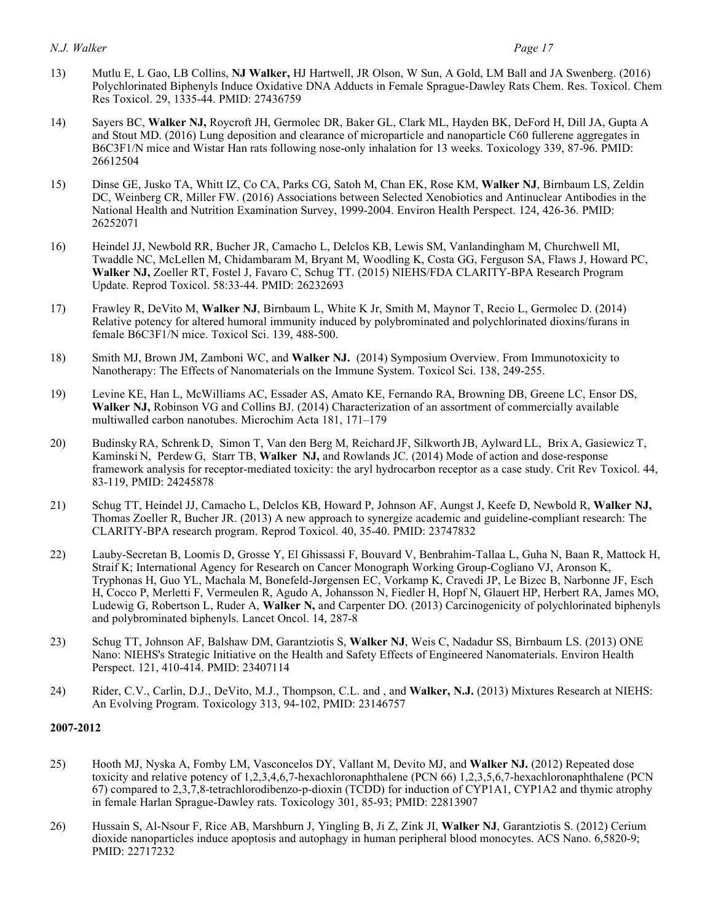- 13) Mutlu E, L Gao, LB Collins, **NJ Walker,** HJ Hartwell, JR Olson, W Sun, A Gold, LM Ball and JA Swenberg. (2016) Polychlorinated Biphenyls Induce Oxidative DNA Adducts in Female Sprague-Dawley Rats Chem. Res. Toxicol. Chem Res Toxicol. 29, 1335-44. PMID: 27436759
- 14) Sayers BC, **Walker NJ,** Roycroft JH, Germolec DR, Baker GL, Clark ML, Hayden BK, DeFord H, Dill JA, Gupta A and Stout MD. (2016) Lung deposition and clearance of microparticle and nanoparticle C60 fullerene aggregates in B6C3F1/N mice and Wistar Han rats following nose-only inhalation for 13 weeks. Toxicology 339, 87-96. PMID: 26612504
- 15) Dinse GE, Jusko TA, Whitt IZ, Co CA, Parks CG, Satoh M, Chan EK, Rose KM, **Walker NJ**, Birnbaum LS, Zeldin DC, Weinberg CR, Miller FW. (2016) Associations between Selected Xenobiotics and Antinuclear Antibodies in the National Health and Nutrition Examination Survey, 1999-2004. Environ Health Perspect. 124, 426-36. PMID: 26252071
- 16) Heindel JJ, Newbold RR, Bucher JR, Camacho L, Delclos KB, Lewis SM, Vanlandingham M, Churchwell MI, Twaddle NC, McLellen M, Chidambaram M, Bryant M, Woodling K, Costa GG, Ferguson SA, Flaws J, Howard PC, **Walker NJ,** Zoeller RT, Fostel J, Favaro C, Schug TT. (2015) NIEHS/FDA CLARITY-BPA Research Program Update. Reprod Toxicol. 58:33-44. PMID: 26232693
- 17) Frawley R, DeVito M, **Walker NJ**, Birnbaum L, White K Jr, Smith M, Maynor T, Recio L, Germolec D. (2014) Relative potency for altered humoral immunity induced by polybrominated and polychlorinated dioxins/furans in female B6C3F1/N mice. Toxicol Sci. 139, 488-500.
- 18) Smith MJ, Brown JM, Zamboni WC, and **Walker NJ.** (2014) Symposium Overview. From Immunotoxicity to Nanotherapy: The Effects of Nanomaterials on the Immune System. Toxicol Sci. 138, 249-255.
- 19) Levine KE, Han L, McWilliams AC, Essader AS, Amato KE, Fernando RA, Browning DB, Greene LC, Ensor DS, **Walker NJ,** Robinson VG and Collins BJ. (2014) Characterization of an assortment of commercially available multiwalled carbon nanotubes. Microchim Acta 181, 171–179
- 20) Budinsky RA, Schrenk D, Simon T, Van den Berg M, Reichard JF, Silkworth JB, Aylward LL, Brix A, Gasiewicz T, Kaminski N, Perdew G, Starr TB, **Walker NJ,** and Rowlands JC. (2014) Mode of action and dose-response framework analysis for receptor-mediated toxicity: the aryl hydrocarbon receptor as a case study. Crit Rev Toxicol. 44, 83-119, PMID: 24245878
- 21) Schug TT, Heindel JJ, Camacho L, Delclos KB, Howard P, Johnson AF, Aungst J, Keefe D, Newbold R, **Walker NJ,**  Thomas Zoeller R, Bucher JR. (2013) A new approach to synergize academic and guideline-compliant research: The CLARITY-BPA research program. Reprod Toxicol. 40, 35-40. PMID: 23747832
- 22) Lauby-Secretan B, Loomis D, Grosse Y, El Ghissassi F, Bouvard V, Benbrahim-Tallaa L, Guha N, Baan R, Mattock H, Straif K; International Agency for Research on Cancer Monograph Working Group-Cogliano VJ, Aronson K, Tryphonas H, Guo YL, Machala M, Bonefeld-Jørgensen EC, Vorkamp K, Cravedi JP, Le Bizec B, Narbonne JF, Esch H, Cocco P, Merletti F, Vermeulen R, Agudo A, Johansson N, Fiedler H, Hopf N, Glauert HP, Herbert RA, James MO, Ludewig G, Robertson L, Ruder A, **Walker N,** and Carpenter DO. (2013) Carcinogenicity of polychlorinated biphenyls and polybrominated biphenyls. Lancet Oncol. 14, 287-8
- 23) Schug TT, Johnson AF, Balshaw DM, Garantziotis S, **Walker NJ**, Weis C, Nadadur SS, Birnbaum LS. (2013) ONE Nano: NIEHS's Strategic Initiative on the Health and Safety Effects of Engineered Nanomaterials. Environ Health Perspect. 121, 410-414. PMID: 23407114
- 24) Rider, C.V., Carlin, D.J., DeVito, M.J., Thompson, C.L. and , and **Walker, N.J.** (2013) Mixtures Research at NIEHS: An Evolving Program. Toxicology 313, 94-102, PMID: 23146757

#### **2007-2012**

- 25) Hooth MJ, Nyska A, Fomby LM, Vasconcelos DY, Vallant M, Devito MJ, and **Walker NJ.** (2012) Repeated dose toxicity and relative potency of 1,2,3,4,6,7-hexachloronaphthalene (PCN 66) 1,2,3,5,6,7-hexachloronaphthalene (PCN 67) compared to 2,3,7,8-tetrachlorodibenzo-p-dioxin (TCDD) for induction of CYP1A1, CYP1A2 and thymic atrophy in female Harlan Sprague-Dawley rats. Toxicology 301, 85-93; PMID: 22813907
- 26) Hussain S, Al-Nsour F, Rice AB, Marshburn J, Yingling B, Ji Z, Zink JI, **Walker NJ**, Garantziotis S. (2012) Cerium dioxide nanoparticles induce apoptosis and autophagy in human peripheral blood monocytes. ACS Nano. 6,5820-9; PMID: 22717232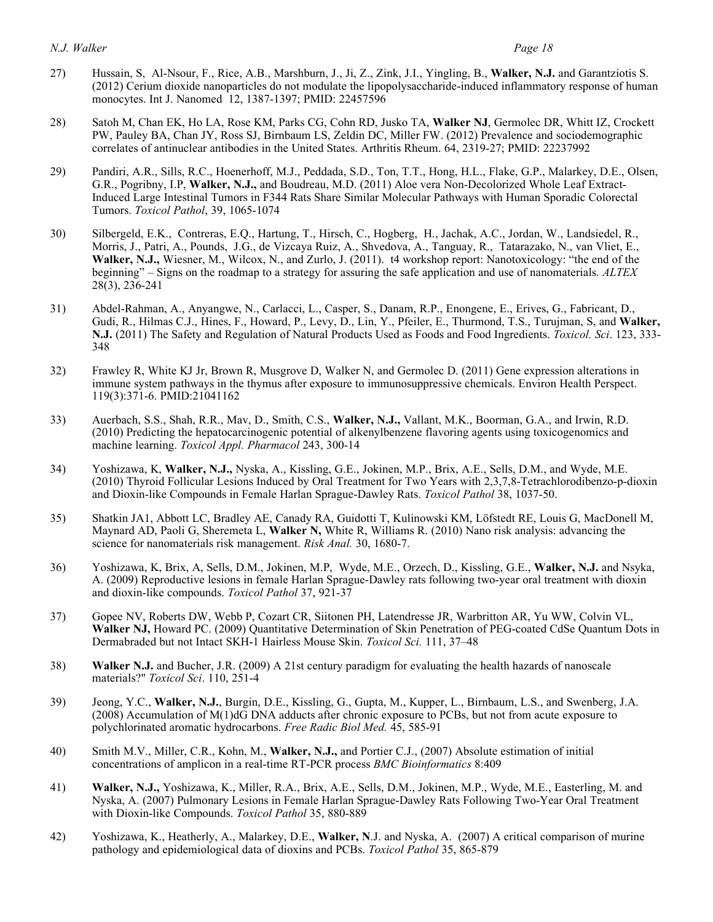- 27) Hussain, S, Al-Nsour, F., Rice, A.B., Marshburn, J., Ji, Z., Zink, J.I., Yingling, B., **Walker, N.J.** and Garantziotis S. (2012) Cerium dioxide nanoparticles do not modulate the lipopolysaccharide-induced inflammatory response of human monocytes. Int J. Nanomed 12, 1387-1397; PMID: 22457596
- 28) Satoh M, Chan EK, Ho LA, Rose KM, Parks CG, Cohn RD, Jusko TA, **Walker NJ**, Germolec DR, Whitt IZ, Crockett PW, Pauley BA, Chan JY, Ross SJ, Birnbaum LS, Zeldin DC, Miller FW. (2012) Prevalence and sociodemographic correlates of antinuclear antibodies in the United States. Arthritis Rheum. 64, 2319-27; PMID: 22237992
- 29) Pandiri, A.R., Sills, R.C., Hoenerhoff, M.J., Peddada, S.D., Ton, T.T., Hong, H.L., Flake, G.P., Malarkey, D.E., Olsen, G.R., Pogribny, I.P, **Walker, N.J.,** and Boudreau, M.D. (2011) Aloe vera Non-Decolorized Whole Leaf Extract- Induced Large Intestinal Tumors in F344 Rats Share Similar Molecular Pathways with Human Sporadic Colorectal Tumors. *Toxicol Pathol*, 39, 1065-1074
- 30) Silbergeld, E.K., Contreras, E.Q., Hartung, T., Hirsch, C., Hogberg, H., Jachak, A.C., Jordan, W., Landsiedel, R., Morris, J., Patri, A., Pounds, J.G., de Vizcaya Ruiz, A., Shvedova, A., Tanguay, R., Tatarazako, N., van Vliet, E., **Walker, N.J.,** Wiesner, M., Wilcox, N., and Zurlo, J. (2011). t4 workshop report: Nanotoxicology: "the end of the beginning" – Signs on the roadmap to a strategy for assuring the safe application and use of nanomaterials*. ALTEX*  28(3), 236-241
- 31) Abdel-Rahman, A., Anyangwe, N., Carlacci, L., Casper, S., Danam, R.P., Enongene, E., Erives, G., Fabricant, D., Gudi, R., Hilmas C.J., Hines, F., Howard, P., Levy, D., Lin, Y., Pfeiler, E., Thurmond, T.S., Turujman, S, and **Walker, N.J.** (2011) The Safety and Regulation of Natural Products Used as Foods and Food Ingredients. *Toxicol. Sci*. 123, 333- 348
- 32) Frawley R, White KJ Jr, Brown R, Musgrove D, Walker N, and Germolec D. (2011) Gene expression alterations in immune system pathways in the thymus after exposure to immunosuppressive chemicals. Environ Health Perspect. 119(3):371-6. PMID:21041162
- 33) Auerbach, S.S., Shah, R.R., Mav, D., Smith, C.S., **Walker, N.J.,** Vallant, M.K., Boorman, G.A., and Irwin, R.D. (2010) Predicting the hepatocarcinogenic potential of alkenylbenzene flavoring agents using toxicogenomics and machine learning. *Toxicol Appl. Pharmacol* 243, 300-14
- 34) Yoshizawa, K, **Walker, N.J.,** Nyska, A., Kissling, G.E., Jokinen, M.P., Brix, A.E., Sells, D.M., and Wyde, M.E. (2010) Thyroid Follicular Lesions Induced by Oral Treatment for Two Years with 2,3,7,8-Tetrachlorodibenzo-p-dioxin and Dioxin-like Compounds in Female Harlan Sprague-Dawley Rats. *Toxicol Pathol* 38, 1037-50.
- 35) Shatkin JA1, Abbott LC, Bradley AE, Canady RA, Guidotti T, Kulinowski KM, Löfstedt RE, Louis G, MacDonell M, Maynard AD, Paoli G, Sheremeta L, **Walker N,** White R, Williams R. (2010) Nano risk analysis: advancing the science for nanomaterials risk management. *Risk Anal.* 30, 1680-7.
- 36) Yoshizawa, K, Brix, A, Sells, D.M., Jokinen, M.P, Wyde, M.E., Orzech, D., Kissling, G.E., **Walker, N.J.** and Nsyka, A. (2009) Reproductive lesions in female Harlan Sprague-Dawley rats following two-year oral treatment with dioxin and dioxin-like compounds. *Toxicol Pathol* 37, 921-37
- 37) Gopee NV, Roberts DW, Webb P, Cozart CR, Siitonen PH, Latendresse JR, Warbritton AR, Yu WW, Colvin VL, **Walker NJ,** Howard PC. (2009) Quantitative Determination of Skin Penetration of PEG-coated CdSe Quantum Dots in Dermabraded but not Intact SKH-1 Hairless Mouse Skin. *Toxicol Sci.* 111, 37–48
- 38) **Walker N.J.** and Bucher, J.R. (2009) A 21st century paradigm for evaluating the health hazards of nanoscale materials?" *Toxicol Sci*. 110, 251-4
- 39) Jeong, Y.C., **Walker, N.J.**, Burgin, D.E., Kissling, G., Gupta, M., Kupper, L., Birnbaum, L.S., and Swenberg, J.A. (2008) Accumulation of M(1)dG DNA adducts after chronic exposure to PCBs, but not from acute exposure to  polychlorinated aromatic hydrocarbons. *Free Radic Biol Med.* 45, 585-91
- 40) Smith M.V., Miller, C.R., Kohn, M., **Walker, N.J.,** and Portier C.J., (2007) Absolute estimation of initial concentrations of amplicon in a real-time RT-PCR process *BMC Bioinformatics* 8:409
- 41) **Walker, N.J.,** Yoshizawa, K., Miller, R.A., Brix, A.E., Sells, D.M., Jokinen, M.P., Wyde, M.E., Easterling, M. and Nyska, A. (2007) Pulmonary Lesions in Female Harlan Sprague-Dawley Rats Following Two-Year Oral Treatment with Dioxin-like Compounds. *Toxicol Pathol* 35, 880-889
- 42) Yoshizawa, K., Heatherly, A., Malarkey, D.E., **Walker, N**.J. and Nyska, A. (2007) A critical comparison of murine pathology and epidemiological data of dioxins and PCBs. *Toxicol Pathol* 35, 865-879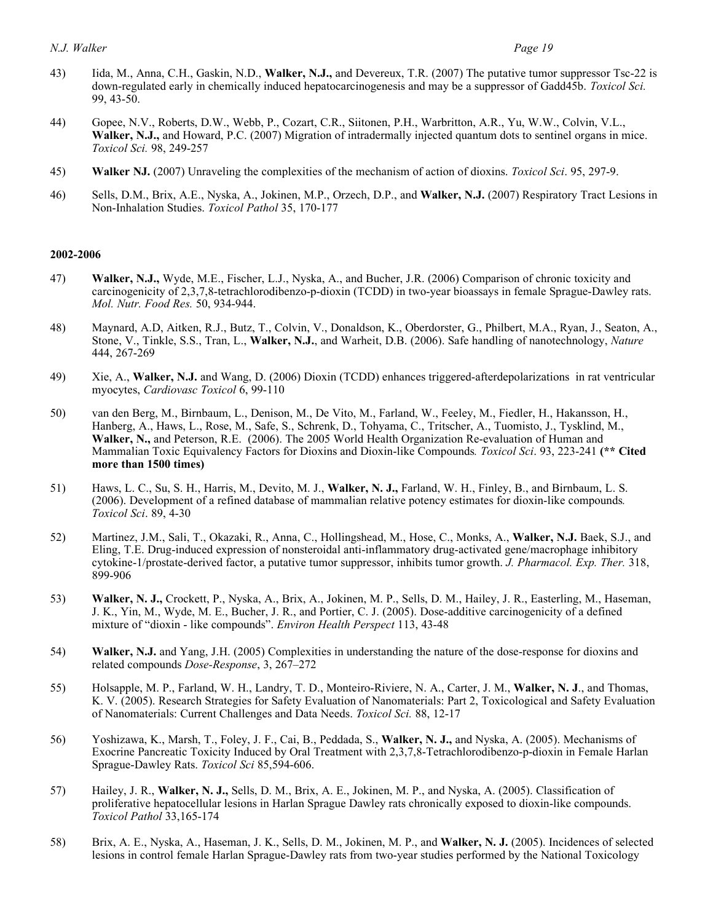- 43) Iida, M., Anna, C.H., Gaskin, N.D., **Walker, N.J.,** and Devereux, T.R. (2007) The putative tumor suppressor Tsc-22 is down-regulated early in chemically induced hepatocarcinogenesis and may be a suppressor of Gadd45b. *Toxicol Sci.*  99, 43-50.
- 44) Gopee, N.V., Roberts, D.W., Webb, P., Cozart, C.R., Siitonen, P.H., Warbritton, A.R., Yu, W.W., Colvin, V.L., **Walker, N.J.,** and Howard, P.C. (2007) Migration of intradermally injected quantum dots to sentinel organs in mice. *Toxicol Sci.* 98, 249-257
- 45) **Walker NJ.** (2007) Unraveling the complexities of the mechanism of action of dioxins. *Toxicol Sci*. 95, 297-9.
- 46) Sells, D.M., Brix, A.E., Nyska, A., Jokinen, M.P., Orzech, D.P., and **Walker, N.J.** (2007) Respiratory Tract Lesions in Non-Inhalation Studies. *Toxicol Pathol* 35, 170-177

#### **2002-2006**

- 47) **Walker, N.J.,** Wyde, M.E., Fischer, L.J., Nyska, A., and Bucher, J.R. (2006) Comparison of chronic toxicity and carcinogenicity of 2,3,7,8-tetrachlorodibenzo-p-dioxin (TCDD) in two-year bioassays in female Sprague-Dawley rats.  *Mol. Nutr. Food Res.* 50, 934-944.
- 48) Maynard, A.D, Aitken, R.J., Butz, T., Colvin, V., Donaldson, K., Oberdorster, G., Philbert, M.A., Ryan, J., Seaton, A., Stone, V., Tinkle, S.S., Tran, L., **Walker, N.J.**, and Warheit, D.B. (2006). Safe handling of nanotechnology, *Nature*  444, 267-269
- 49) Xie, A., **Walker, N.J.** and Wang, D. (2006) Dioxin (TCDD) enhances triggered-afterdepolarizations in rat ventricular myocytes, *Cardiovasc Toxicol* 6, 99-110
- 50) van den Berg, M., Birnbaum, L., Denison, M., De Vito, M., Farland, W., Feeley, M., Fiedler, H., Hakansson, H., Hanberg, A., Haws, L., Rose, M., Safe, S., Schrenk, D., Tohyama, C., Tritscher, A., Tuomisto, J., Tysklind, M., **Walker, N.,** and Peterson, R.E. (2006). The 2005 World Health Organization Re-evaluation of Human and Mammalian Toxic Equivalency Factors for Dioxins and Dioxin-like Compounds*. Toxicol Sci*. 93, 223-241 **(\*\* Cited more than 1500 times)**
- 51) Haws, L. C., Su, S. H., Harris, M., Devito, M. J., **Walker, N. J.,** Farland, W. H., Finley, B., and Birnbaum, L. S. (2006). Development of a refined database of mammalian relative potency estimates for dioxin-like compounds*. Toxicol Sci*. 89, 4-30
- 52) Martinez, J.M., Sali, T., Okazaki, R., Anna, C., Hollingshead, M., Hose, C., Monks, A., **Walker, N.J.** Baek, S.J., and Eling, T.E. Drug-induced expression of nonsteroidal anti-inflammatory drug-activated gene/macrophage inhibitory cytokine-1/prostate-derived factor, a putative tumor suppressor, inhibits tumor growth. *J. Pharmacol. Exp. Ther.* 318, 899-906
- 53) **Walker, N. J.,** Crockett, P., Nyska, A., Brix, A., Jokinen, M. P., Sells, D. M., Hailey, J. R., Easterling, M., Haseman, J. K., Yin, M., Wyde, M. E., Bucher, J. R., and Portier, C. J. (2005). Dose-additive carcinogenicity of a defined mixture of "dioxin - like compounds". *Environ Health Perspect* 113, 43-48
- 54) **Walker, N.J.** and Yang, J.H. (2005) Complexities in understanding the nature of the dose-response for dioxins and related compounds *Dose-Response*, 3, 267–272
- 55) Holsapple, M. P., Farland, W. H., Landry, T. D., Monteiro-Riviere, N. A., Carter, J. M., **Walker, N. J**., and Thomas, K. V. (2005). Research Strategies for Safety Evaluation of Nanomaterials: Part 2, Toxicological and Safety Evaluation of Nanomaterials: Current Challenges and Data Needs. *Toxicol Sci.* 88, 12-17
- 56) Yoshizawa, K., Marsh, T., Foley, J. F., Cai, B., Peddada, S., **Walker, N. J.,** and Nyska, A. (2005). Mechanisms of Exocrine Pancreatic Toxicity Induced by Oral Treatment with 2,3,7,8-Tetrachlorodibenzo-p-dioxin in Female Harlan Sprague-Dawley Rats. *Toxicol Sci* 85,594-606.
- 57) Hailey, J. R., **Walker, N. J.,** Sells, D. M., Brix, A. E., Jokinen, M. P., and Nyska, A. (2005). Classification of proliferative hepatocellular lesions in Harlan Sprague Dawley rats chronically exposed to dioxin-like compounds. *Toxicol Pathol* 33,165-174
- 58) Brix, A. E., Nyska, A., Haseman, J. K., Sells, D. M., Jokinen, M. P., and **Walker, N. J.** (2005). Incidences of selected lesions in control female Harlan Sprague-Dawley rats from two-year studies performed by the National Toxicology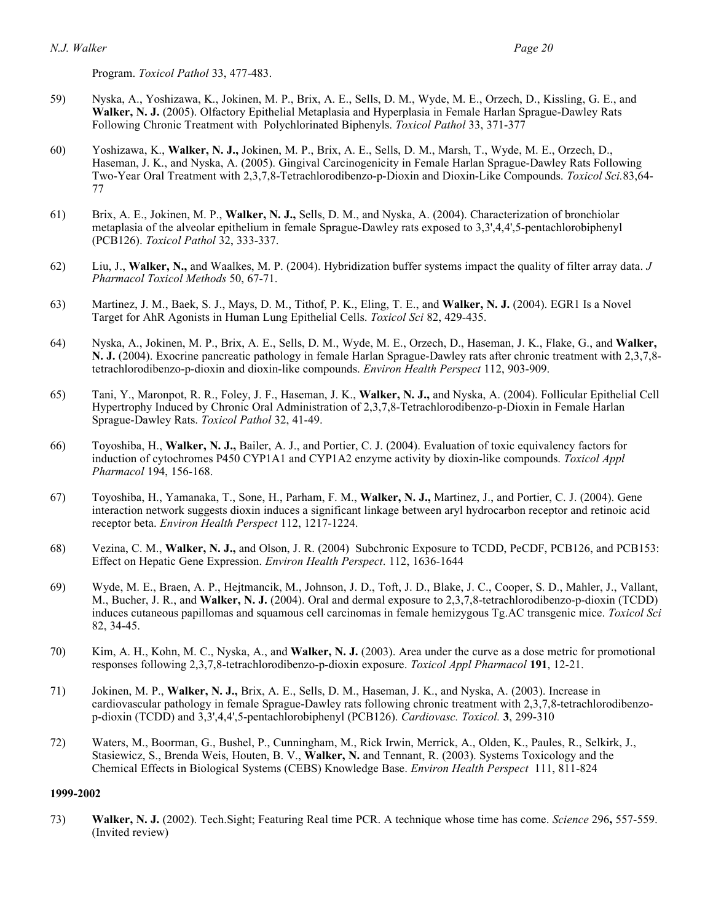Program. *Toxicol Pathol* 33, 477-483.

- 59) Nyska, A., Yoshizawa, K., Jokinen, M. P., Brix, A. E., Sells, D. M., Wyde, M. E., Orzech, D., Kissling, G. E., and Walker, N. J. (2005). Olfactory Epithelial Metaplasia and Hyperplasia in Female Harlan Sprague-Dawley Rats Following Chronic Treatment with Polychlorinated Biphenyls. *Toxicol Pathol* 33, 371-377
- 60) Yoshizawa, K., **Walker, N. J.,** Jokinen, M. P., Brix, A. E., Sells, D. M., Marsh, T., Wyde, M. E., Orzech, D., Haseman, J. K., and Nyska, A. (2005). Gingival Carcinogenicity in Female Harlan Sprague-Dawley Rats Following Two-Year Oral Treatment with 2,3,7,8-Tetrachlorodibenzo-p-Dioxin and Dioxin-Like Compounds. *Toxicol Sci.*83,64- 77
- 61) Brix, A. E., Jokinen, M. P., **Walker, N. J.,** Sells, D. M., and Nyska, A. (2004). Characterization of bronchiolar metaplasia of the alveolar epithelium in female Sprague-Dawley rats exposed to 3,3',4,4',5-pentachlorobiphenyl (PCB126). *Toxicol Pathol* 32, 333-337.
- 62) Liu, J., **Walker, N.,** and Waalkes, M. P. (2004). Hybridization buffer systems impact the quality of filter array data. *J Pharmacol Toxicol Methods* 50, 67-71.
- 63) Martinez, J. M., Baek, S. J., Mays, D. M., Tithof, P. K., Eling, T. E., and **Walker, N. J.** (2004). EGR1 Is a Novel Target for AhR Agonists in Human Lung Epithelial Cells. *Toxicol Sci* 82, 429-435.
- 64) Nyska, A., Jokinen, M. P., Brix, A. E., Sells, D. M., Wyde, M. E., Orzech, D., Haseman, J. K., Flake, G., and **Walker, N. J.** (2004). Exocrine pancreatic pathology in female Harlan Sprague-Dawley rats after chronic treatment with 2,3,7,8- tetrachlorodibenzo-p-dioxin and dioxin-like compounds. *Environ Health Perspect* 112, 903-909.
- 65) Tani, Y., Maronpot, R. R., Foley, J. F., Haseman, J. K., **Walker, N. J.,** and Nyska, A. (2004). Follicular Epithelial Cell Hypertrophy Induced by Chronic Oral Administration of 2,3,7,8-Tetrachlorodibenzo-p-Dioxin in Female Harlan Sprague-Dawley Rats. *Toxicol Pathol* 32, 41-49.
- 66) Toyoshiba, H., **Walker, N. J.,** Bailer, A. J., and Portier, C. J. (2004). Evaluation of toxic equivalency factors for induction of cytochromes P450 CYP1A1 and CYP1A2 enzyme activity by dioxin-like compounds. *Toxicol Appl Pharmacol* 194, 156-168.
- 67) Toyoshiba, H., Yamanaka, T., Sone, H., Parham, F. M., **Walker, N. J.,** Martinez, J., and Portier, C. J. (2004). Gene interaction network suggests dioxin induces a significant linkage between aryl hydrocarbon receptor and retinoic acid receptor beta. *Environ Health Perspect* 112, 1217-1224.
- 68) Vezina, C. M., **Walker, N. J.,** and Olson, J. R. (2004) Subchronic Exposure to TCDD, PeCDF, PCB126, and PCB153: Effect on Hepatic Gene Expression. *Environ Health Perspect*. 112, 1636-1644
- 69) Wyde, M. E., Braen, A. P., Hejtmancik, M., Johnson, J. D., Toft, J. D., Blake, J. C., Cooper, S. D., Mahler, J., Vallant, M., Bucher, J. R., and **Walker, N. J.** (2004). Oral and dermal exposure to 2,3,7,8-tetrachlorodibenzo-p-dioxin (TCDD) induces cutaneous papillomas and squamous cell carcinomas in female hemizygous Tg.AC transgenic mice. *Toxicol Sci*  82, 34-45.
- 70) Kim, A. H., Kohn, M. C., Nyska, A., and **Walker, N. J.** (2003). Area under the curve as a dose metric for promotional  responses following 2,3,7,8-tetrachlorodibenzo-p-dioxin exposure. *Toxicol Appl Pharmacol* **191**, 12-21.
- 71) Jokinen, M. P., **Walker, N. J.,** Brix, A. E., Sells, D. M., Haseman, J. K., and Nyska, A. (2003). Increase in cardiovascular pathology in female Sprague-Dawley rats following chronic treatment with 2,3,7,8-tetrachlorodibenzo-p-dioxin (TCDD) and 3,3',4,4',5-pentachlorobiphenyl (PCB126). *Cardiovasc. Toxicol.* **3**, 299-310
- 72) Waters, M., Boorman, G., Bushel, P., Cunningham, M., Rick Irwin, Merrick, A., Olden, K., Paules, R., Selkirk, J., Stasiewicz, S., Brenda Weis, Houten, B. V., **Walker, N.** and Tennant, R. (2003). Systems Toxicology and the Chemical Effects in Biological Systems (CEBS) Knowledge Base. *Environ Health Perspect* 111, 811-824

#### **1999-2002**

 73) **Walker, N. J.** (2002). Tech.Sight; Featuring Real time PCR. A technique whose time has come. *Science* 296**,** 557-559. (Invited review)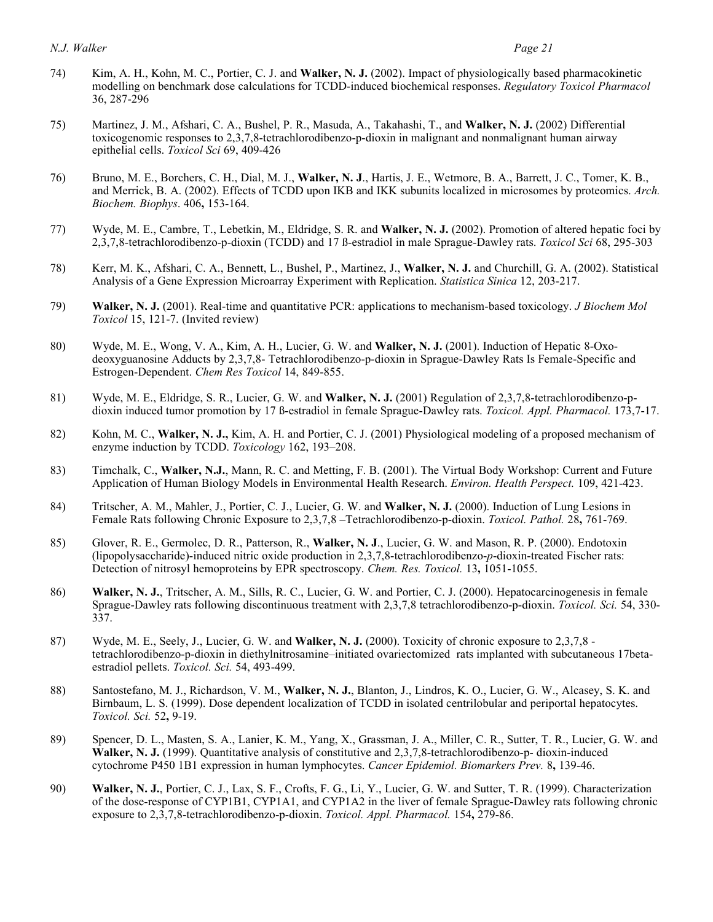- 74) Kim, A. H., Kohn, M. C., Portier, C. J. and **Walker, N. J.** (2002). Impact of physiologically based pharmacokinetic modelling on benchmark dose calculations for TCDD-induced biochemical responses. *Regulatory Toxicol Pharmacol*  36, 287-296
- 75) Martinez, J. M., Afshari, C. A., Bushel, P. R., Masuda, A., Takahashi, T., and **Walker, N. J.** (2002) Differential toxicogenomic responses to 2,3,7,8-tetrachlorodibenzo-p-dioxin in malignant and nonmalignant human airway epithelial cells. *Toxicol Sci* 69, 409-426
- 76) Bruno, M. E., Borchers, C. H., Dial, M. J., **Walker, N. J**., Hartis, J. E., Wetmore, B. A., Barrett, J. C., Tomer, K. B., and Merrick, B. A. (2002). Effects of TCDD upon IKB and IKK subunits localized in microsomes by proteomics. *Arch. Biochem. Biophys*. 406**,** 153-164.
- 77) Wyde, M. E., Cambre, T., Lebetkin, M., Eldridge, S. R. and **Walker, N. J.** (2002). Promotion of altered hepatic foci by 2,3,7,8-tetrachlorodibenzo-p-dioxin (TCDD) and 17 ß-estradiol in male Sprague-Dawley rats. *Toxicol Sci* 68, 295-303
- 78) Kerr, M. K., Afshari, C. A., Bennett, L., Bushel, P., Martinez, J., **Walker, N. J.** and Churchill, G. A. (2002). Statistical Analysis of a Gene Expression Microarray Experiment with Replication. *Statistica Sinica* 12, 203-217.
- 79) **Walker, N. J.** (2001). Real-time and quantitative PCR: applications to mechanism-based toxicology. *J Biochem Mol Toxicol* 15, 121-7. (Invited review)
- 80) Wyde, M. E., Wong, V. A., Kim, A. H., Lucier, G. W. and **Walker, N. J.** (2001). Induction of Hepatic 8-Oxo- deoxyguanosine Adducts by 2,3,7,8- Tetrachlorodibenzo-p-dioxin in Sprague-Dawley Rats Is Female-Specific and  Estrogen-Dependent. *Chem Res Toxicol* 14, 849-855.
- 81) Wyde, M. E., Eldridge, S. R., Lucier, G. W. and **Walker, N. J.** (2001) Regulation of 2,3,7,8-tetrachlorodibenzo-p-dioxin induced tumor promotion by 17 ß-estradiol in female Sprague-Dawley rats. *Toxicol. Appl. Pharmacol.* 173,7-17.
- 82) Kohn, M. C., **Walker, N. J.,** Kim, A. H. and Portier, C. J. (2001) Physiological modeling of a proposed mechanism of enzyme induction by TCDD. *Toxicology* 162, 193–208.
- 83) Timchalk, C., **Walker, N.J.**, Mann, R. C. and Metting, F. B. (2001). The Virtual Body Workshop: Current and Future Application of Human Biology Models in Environmental Health Research. *Environ. Health Perspect.* 109, 421-423.
- 84) Tritscher, A. M., Mahler, J., Portier, C. J., Lucier, G. W. and **Walker, N. J.** (2000). Induction of Lung Lesions in Female Rats following Chronic Exposure to 2,3,7,8 –Tetrachlorodibenzo-p-dioxin. *Toxicol. Pathol.* 28**,** 761-769.
- 85) Glover, R. E., Germolec, D. R., Patterson, R., **Walker, N. J**., Lucier, G. W. and Mason, R. P. (2000). Endotoxin (lipopolysaccharide)-induced nitric oxide production in 2,3,7,8-tetrachlorodibenzo-*p*-dioxin-treated Fischer rats: Detection of nitrosyl hemoproteins by EPR spectroscopy. *Chem. Res. Toxicol.* 13**,** 1051-1055.
- 86) **Walker, N. J.**, Tritscher, A. M., Sills, R. C., Lucier, G. W. and Portier, C. J. (2000). Hepatocarcinogenesis in female Sprague-Dawley rats following discontinuous treatment with 2,3,7,8 tetrachlorodibenzo-p-dioxin. *Toxicol. Sci.* 54, 330- 337.
- 87) Wyde, M. E., Seely, J., Lucier, G. W. and **Walker, N. J.** (2000). Toxicity of chronic exposure to 2,3,7,8 tetrachlorodibenzo-p-dioxin in diethylnitrosamine–initiated ovariectomized rats implanted with subcutaneous 17beta-estradiol pellets. *Toxicol. Sci.* 54, 493-499.
- 88) Santostefano, M. J., Richardson, V. M., **Walker, N. J.**, Blanton, J., Lindros, K. O., Lucier, G. W., Alcasey, S. K. and Birnbaum, L. S. (1999). Dose dependent localization of TCDD in isolated centrilobular and periportal hepatocytes. *Toxicol. Sci.* 52**,** 9-19.
- 89) Spencer, D. L., Masten, S. A., Lanier, K. M., Yang, X., Grassman, J. A., Miller, C. R., Sutter, T. R., Lucier, G. W. and  **Walker, N. J.** (1999). Quantitative analysis of constitutive and 2,3,7,8-tetrachlorodibenzo-p- dioxin-induced  cytochrome P450 1B1 expression in human lymphocytes. *Cancer Epidemiol. Biomarkers Prev.* 8**,** 139-46.
- 90) Walker, N. J., Portier, C. J., Lax, S. F., Crofts, F. G., Li, Y., Lucier, G. W. and Sutter, T. R. (1999). Characterization of the dose-response of CYP1B1, CYP1A1, and CYP1A2 in the liver of female Sprague-Dawley rats following chronic  exposure to 2,3,7,8-tetrachlorodibenzo-p-dioxin. *Toxicol. Appl. Pharmacol.* 154**,** 279-86.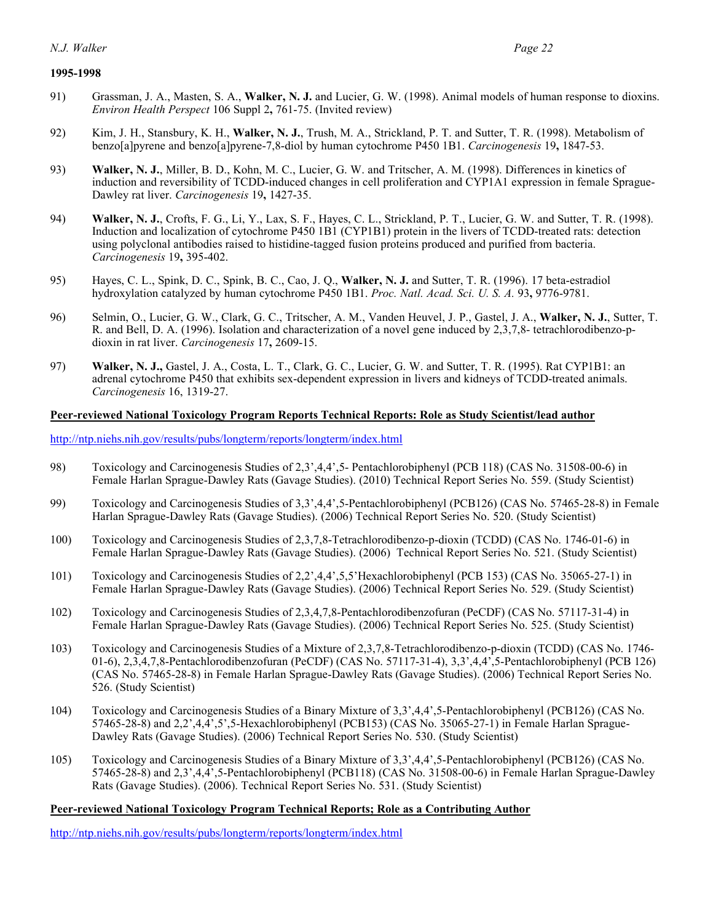#### **1995-1998**

- 91) Grassman, J. A., Masten, S. A., **Walker, N. J.** and Lucier, G. W. (1998). Animal models of human response to dioxins. *Environ Health Perspect* 106 Suppl 2**,** 761-75. (Invited review)
- 92) Kim, J. H., Stansbury, K. H., **Walker, N. J.**, Trush, M. A., Strickland, P. T. and Sutter, T. R. (1998). Metabolism of benzo[a]pyrene and benzo[a]pyrene-7,8-diol by human cytochrome P450 1B1. *Carcinogenesis* 19**,** 1847-53.
- 93) Walker, N. J., Miller, B. D., Kohn, M. C., Lucier, G. W. and Tritscher, A. M. (1998). Differences in kinetics of induction and reversibility of TCDD-induced changes in cell proliferation and CYP1A1 expression in female Sprague-Dawley rat liver. *Carcinogenesis* 19**,** 1427-35.
- 94) **Walker, N. J.**, Crofts, F. G., Li, Y., Lax, S. F., Hayes, C. L., Strickland, P. T., Lucier, G. W. and Sutter, T. R. (1998). Induction and localization of cytochrome P450 1B1 (CYP1B1) protein in the livers of TCDD-treated rats: detection using polyclonal antibodies raised to histidine-tagged fusion proteins produced and purified from bacteria. *Carcinogenesis* 19**,** 395-402.
- 95) Hayes, C. L., Spink, D. C., Spink, B. C., Cao, J. Q., **Walker, N. J.** and Sutter, T. R. (1996). 17 beta-estradiol hydroxylation catalyzed by human cytochrome P450 1B1. *Proc. Natl. Acad. Sci. U. S. A.* 93**,** 9776-9781.
- 96) Selmin, O., Lucier, G. W., Clark, G. C., Tritscher, A. M., Vanden Heuvel, J. P., Gastel, J. A., **Walker, N. J.**, Sutter, T. R. and Bell, D. A. (1996). Isolation and characterization of a novel gene induced by 2,3,7,8- tetrachlorodibenzo-p-dioxin in rat liver. *Carcinogenesis* 17**,** 2609-15.
- 97) **Walker, N. J., Gastel, J. A., Costa, L. T., Clark, G. C., Lucier, G. W. and Sutter, T. R. (1995). Rat CYP1B1: an**  adrenal cytochrome P450 that exhibits sex-dependent expression in livers and kidneys of TCDD-treated animals. *Carcinogenesis* 16, 1319-27.

#### **Peer-reviewed National Toxicology Program Reports Technical Reports: Role as Study Scientist/lead author**

<http://ntp.niehs.nih.gov/results/pubs/longterm/reports/longterm/index.html>

- 98) Toxicology and Carcinogenesis Studies of 2,3',4,4',5- Pentachlorobiphenyl (PCB 118) (CAS No. 31508-00-6) in Female Harlan Sprague-Dawley Rats (Gavage Studies). (2010) Technical Report Series No. 559. (Study Scientist)
- 99) Toxicology and Carcinogenesis Studies of 3,3',4,4',5-Pentachlorobiphenyl (PCB126) (CAS No. 57465-28-8) in Female Harlan Sprague-Dawley Rats (Gavage Studies). (2006) Technical Report Series No. 520. (Study Scientist)
- 100) Toxicology and Carcinogenesis Studies of 2,3,7,8-Tetrachlorodibenzo-p-dioxin (TCDD) (CAS No. 1746-01-6) in Female Harlan Sprague-Dawley Rats (Gavage Studies). (2006) Technical Report Series No. 521. (Study Scientist)
- 101) Toxicology and Carcinogenesis Studies of 2,2',4,4',5,5'Hexachlorobiphenyl (PCB 153) (CAS No. 35065-27-1) in Female Harlan Sprague-Dawley Rats (Gavage Studies). (2006) Technical Report Series No. 529. (Study Scientist)
- 102) Toxicology and Carcinogenesis Studies of 2,3,4,7,8-Pentachlorodibenzofuran (PeCDF) (CAS No. 57117-31-4) in Female Harlan Sprague-Dawley Rats (Gavage Studies). (2006) Technical Report Series No. 525. (Study Scientist)
- 103) Toxicology and Carcinogenesis Studies of a Mixture of 2,3,7,8-Tetrachlorodibenzo-p-dioxin (TCDD) (CAS No. 1746- 01-6), 2,3,4,7,8-Pentachlorodibenzofuran (PeCDF) (CAS No. 57117-31-4), 3,3',4,4',5-Pentachlorobiphenyl (PCB 126) (CAS No. 57465-28-8) in Female Harlan Sprague-Dawley Rats (Gavage Studies). (2006) Technical Report Series No. 526. (Study Scientist)
- 104) Toxicology and Carcinogenesis Studies of a Binary Mixture of 3,3',4,4',5-Pentachlorobiphenyl (PCB126) (CAS No. 57465-28-8) and 2,2',4,4',5',5-Hexachlorobiphenyl (PCB153) (CAS No. 35065-27-1) in Female Harlan Sprague-Dawley Rats (Gavage Studies). (2006) Technical Report Series No. 530. (Study Scientist)
- 105) Toxicology and Carcinogenesis Studies of a Binary Mixture of 3,3',4,4',5-Pentachlorobiphenyl (PCB126) (CAS No. 57465-28-8) and 2,3',4,4',5-Pentachlorobiphenyl (PCB118) (CAS No. 31508-00-6) in Female Harlan Sprague-Dawley Rats (Gavage Studies). (2006). Technical Report Series No. 531. (Study Scientist)

#### **Peer-reviewed National Toxicology Program Technical Reports; Role as a Contributing Author**

<http://ntp.niehs.nih.gov/results/pubs/longterm/reports/longterm/index.html>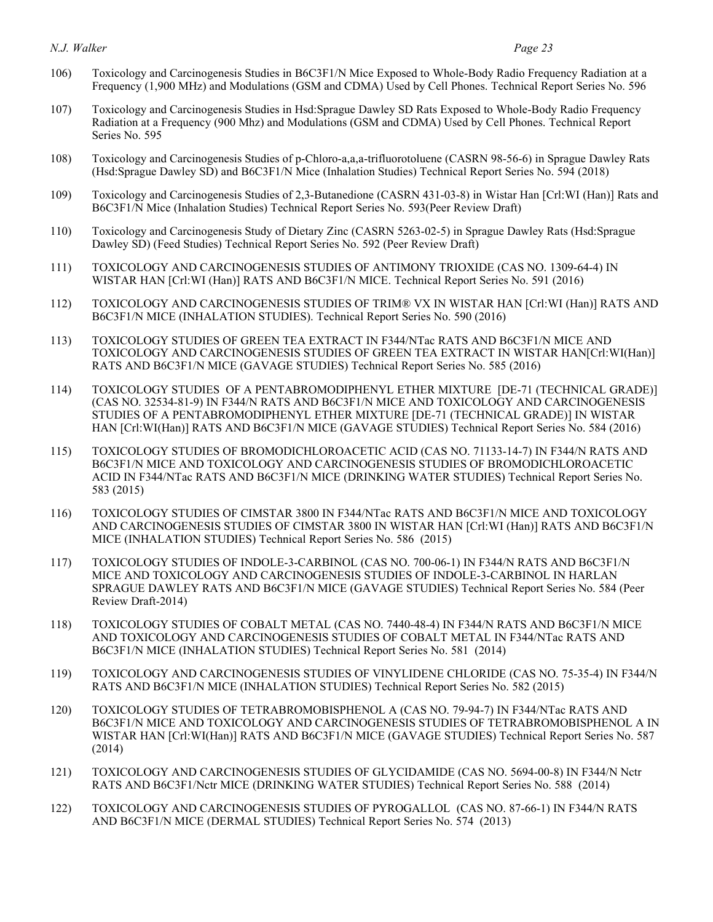- 106) Toxicology and Carcinogenesis Studies in B6C3F1/N Mice Exposed to Whole-Body Radio Frequency Radiation at a Frequency (1,900 MHz) and Modulations (GSM and CDMA) Used by Cell Phones. Technical Report Series No. 596
- 107) Toxicology and Carcinogenesis Studies in Hsd:Sprague Dawley SD Rats Exposed to Whole-Body Radio Frequency Radiation at a Frequency (900 Mhz) and Modulations (GSM and CDMA) Used by Cell Phones. Technical Report Series No. 595
- 108) Toxicology and Carcinogenesis Studies of p-Chloro-a,a,a-trifluorotoluene (CASRN 98-56-6) in Sprague Dawley Rats (Hsd:Sprague Dawley SD) and B6C3F1/N Mice (Inhalation Studies) Technical Report Series No. 594 (2018)
- 109) Toxicology and Carcinogenesis Studies of 2,3-Butanedione (CASRN 431-03-8) in Wistar Han [Crl:WI (Han)] Rats and B6C3F1/N Mice (Inhalation Studies) Technical Report Series No. 593(Peer Review Draft)
- 110) Toxicology and Carcinogenesis Study of Dietary Zinc (CASRN 5263-02-5) in Sprague Dawley Rats (Hsd:Sprague Dawley SD) (Feed Studies) Technical Report Series No. 592 (Peer Review Draft)
- 111) TOXICOLOGY AND CARCINOGENESIS STUDIES OF ANTIMONY TRIOXIDE (CAS NO. 1309-64-4) IN WISTAR HAN [Crl:WI (Han)] RATS AND B6C3F1/N MICE. Technical Report Series No. 591 (2016)
- 112) TOXICOLOGY AND CARCINOGENESIS STUDIES OF TRIM® VX IN WISTAR HAN [Crl:WI (Han)] RATS AND B6C3F1/N MICE (INHALATION STUDIES). Technical Report Series No. 590 (2016)
- 113) TOXICOLOGY STUDIES OF GREEN TEA EXTRACT IN F344/NTac RATS AND B6C3F1/N MICE AND TOXICOLOGY AND CARCINOGENESIS STUDIES OF GREEN TEA EXTRACT IN WISTAR HAN[Crl:WI(Han)] RATS AND B6C3F1/N MICE (GAVAGE STUDIES) Technical Report Series No. 585 (2016)
- 114) TOXICOLOGY STUDIES OF A PENTABROMODIPHENYL ETHER MIXTURE [DE-71 (TECHNICAL GRADE)] (CAS NO. 32534-81-9) IN F344/N RATS AND B6C3F1/N MICE AND TOXICOLOGY AND CARCINOGENESIS STUDIES OF A PENTABROMODIPHENYL ETHER MIXTURE [DE-71 (TECHNICAL GRADE)] IN WISTAR HAN [Crl:WI(Han)] RATS AND B6C3F1/N MICE (GAVAGE STUDIES) Technical Report Series No. 584 (2016)
- 115) TOXICOLOGY STUDIES OF BROMODICHLOROACETIC ACID (CAS NO. 71133-14-7) IN F344/N RATS AND B6C3F1/N MICE AND TOXICOLOGY AND CARCINOGENESIS STUDIES OF BROMODICHLOROACETIC ACID IN F344/NTac RATS AND B6C3F1/N MICE (DRINKING WATER STUDIES) Technical Report Series No. 583 (2015)
- 116) TOXICOLOGY STUDIES OF CIMSTAR 3800 IN F344/NTac RATS AND B6C3F1/N MICE AND TOXICOLOGY AND CARCINOGENESIS STUDIES OF CIMSTAR 3800 IN WISTAR HAN [Crl:WI (Han)] RATS AND B6C3F1/N MICE (INHALATION STUDIES) Technical Report Series No. 586 (2015)
- 117) TOXICOLOGY STUDIES OF INDOLE-3-CARBINOL (CAS NO. 700-06-1) IN F344/N RATS AND B6C3F1/N MICE AND TOXICOLOGY AND CARCINOGENESIS STUDIES OF INDOLE-3-CARBINOL IN HARLAN SPRAGUE DAWLEY RATS AND B6C3F1/N MICE (GAVAGE STUDIES) Technical Report Series No. 584 (Peer Review Draft-2014)
- 118) TOXICOLOGY STUDIES OF COBALT METAL (CAS NO. 7440-48-4) IN F344/N RATS AND B6C3F1/N MICE AND TOXICOLOGY AND CARCINOGENESIS STUDIES OF COBALT METAL IN F344/NTac RATS AND B6C3F1/N MICE (INHALATION STUDIES) Technical Report Series No. 581 (2014)
- 119) TOXICOLOGY AND CARCINOGENESIS STUDIES OF VINYLIDENE CHLORIDE (CAS NO. 75-35-4) IN F344/N RATS AND B6C3F1/N MICE (INHALATION STUDIES) Technical Report Series No. 582 (2015)
- 120) TOXICOLOGY STUDIES OF TETRABROMOBISPHENOL A (CAS NO. 79-94-7) IN F344/NTac RATS AND B6C3F1/N MICE AND TOXICOLOGY AND CARCINOGENESIS STUDIES OF TETRABROMOBISPHENOL A IN WISTAR HAN [Crl:WI(Han)] RATS AND B6C3F1/N MICE (GAVAGE STUDIES) Technical Report Series No. 587 (2014)
- 121) TOXICOLOGY AND CARCINOGENESIS STUDIES OF GLYCIDAMIDE (CAS NO. 5694-00-8) IN F344/N Nctr RATS AND B6C3F1/Nctr MICE (DRINKING WATER STUDIES) Technical Report Series No. 588 (2014)
- 122) TOXICOLOGY AND CARCINOGENESIS STUDIES OF PYROGALLOL (CAS NO. 87-66-1) IN F344/N RATS AND B6C3F1/N MICE (DERMAL STUDIES) Technical Report Series No. 574 (2013)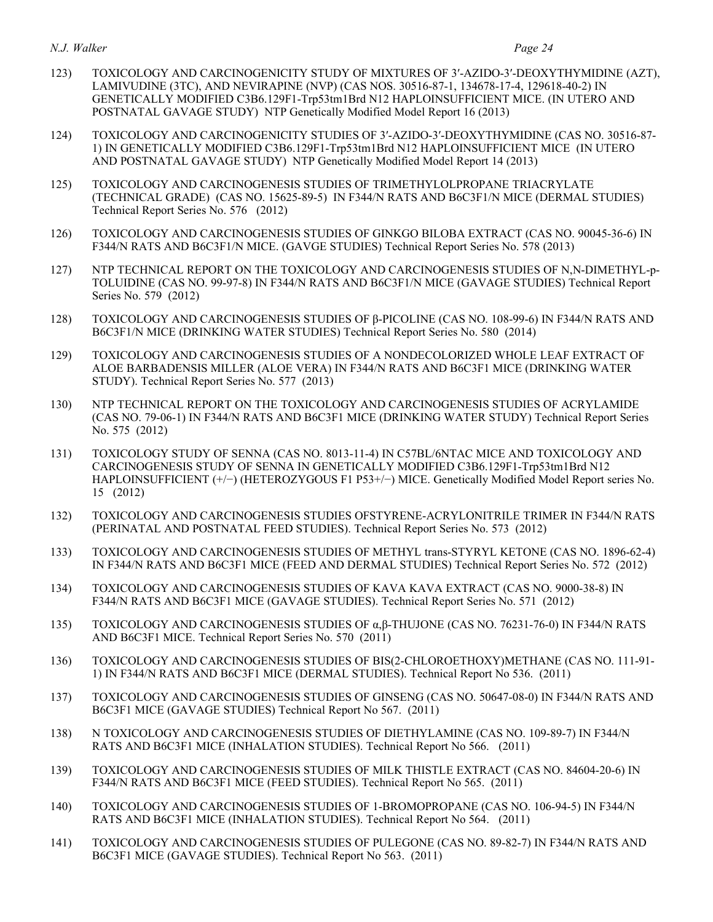#### *N.J. Walker N.J. Walker Page 24*

- 123) TOXICOLOGY AND CARCINOGENICITY STUDY OF MIXTURES OF 3′-AZIDO-3′-DEOXYTHYMIDINE (AZT), LAMIVUDINE (3TC), AND NEVIRAPINE (NVP) (CAS NOS. 30516-87-1, 134678-17-4, 129618-40-2) IN GENETICALLY MODIFIED C3B6.129F1-Trp53tm1Brd N12 HAPLOINSUFFICIENT MICE. (IN UTERO AND POSTNATAL GAVAGE STUDY) NTP Genetically Modified Model Report 16 (2013)
- 124) TOXICOLOGY AND CARCINOGENICITY STUDIES OF 3′-AZIDO-3′-DEOXYTHYMIDINE (CAS NO. 30516-87- 1) IN GENETICALLY MODIFIED C3B6.129F1-Trp53tm1Brd N12 HAPLOINSUFFICIENT MICE (IN UTERO AND POSTNATAL GAVAGE STUDY) NTP Genetically Modified Model Report 14 (2013)
- 125) TOXICOLOGY AND CARCINOGENESIS STUDIES OF TRIMETHYLOLPROPANE TRIACRYLATE (TECHNICAL GRADE) (CAS NO. 15625-89-5) IN F344/N RATS AND B6C3F1/N MICE (DERMAL STUDIES) Technical Report Series No. 576 (2012)
- 126) TOXICOLOGY AND CARCINOGENESIS STUDIES OF GINKGO BILOBA EXTRACT (CAS NO. 90045-36-6) IN F344/N RATS AND B6C3F1/N MICE. (GAVGE STUDIES) Technical Report Series No. 578 (2013)
- 127) NTP TECHNICAL REPORT ON THE TOXICOLOGY AND CARCINOGENESIS STUDIES OF N,N-DIMETHYL-p- TOLUIDINE (CAS NO. 99-97-8) IN F344/N RATS AND B6C3F1/N MICE (GAVAGE STUDIES) Technical Report Series No. 579 (2012)
- 128) TOXICOLOGY AND CARCINOGENESIS STUDIES OF β-PICOLINE (CAS NO. 108-99-6) IN F344/N RATS AND B6C3F1/N MICE (DRINKING WATER STUDIES) Technical Report Series No. 580 (2014)
- 129) TOXICOLOGY AND CARCINOGENESIS STUDIES OF A NONDECOLORIZED WHOLE LEAF EXTRACT OF ALOE BARBADENSIS MILLER (ALOE VERA) IN F344/N RATS AND B6C3F1 MICE (DRINKING WATER STUDY). Technical Report Series No. 577 (2013)
- 130) NTP TECHNICAL REPORT ON THE TOXICOLOGY AND CARCINOGENESIS STUDIES OF ACRYLAMIDE (CAS NO. 79-06-1) IN F344/N RATS AND B6C3F1 MICE (DRINKING WATER STUDY) Technical Report Series No. 575 (2012)
- 131) TOXICOLOGY STUDY OF SENNA (CAS NO. 8013-11-4) IN C57BL/6NTAC MICE AND TOXICOLOGY AND CARCINOGENESIS STUDY OF SENNA IN GENETICALLY MODIFIED C3B6.129F1-Trp53tm1Brd N12 HAPLOINSUFFICIENT (+/−) (HETEROZYGOUS F1 P53+/−) MICE. Genetically Modified Model Report series No. 15 (2012)
- 132) TOXICOLOGY AND CARCINOGENESIS STUDIES OFSTYRENE-ACRYLONITRILE TRIMER IN F344/N RATS (PERINATAL AND POSTNATAL FEED STUDIES). Technical Report Series No. 573 (2012)
- 133) TOXICOLOGY AND CARCINOGENESIS STUDIES OF METHYL trans-STYRYL KETONE (CAS NO. 1896-62-4) IN F344/N RATS AND B6C3F1 MICE (FEED AND DERMAL STUDIES) Technical Report Series No. 572 (2012)
- 134) TOXICOLOGY AND CARCINOGENESIS STUDIES OF KAVA KAVA EXTRACT (CAS NO. 9000-38-8) IN F344/N RATS AND B6C3F1 MICE (GAVAGE STUDIES). Technical Report Series No. 571 (2012)
- 135) TOXICOLOGY AND CARCINOGENESIS STUDIES OF α,β-THUJONE (CAS NO. 76231-76-0) IN F344/N RATS AND B6C3F1 MICE. Technical Report Series No. 570 (2011)
- 136) TOXICOLOGY AND CARCINOGENESIS STUDIES OF BIS(2-CHLOROETHOXY)METHANE (CAS NO. 111-91- 1) IN F344/N RATS AND B6C3F1 MICE (DERMAL STUDIES). Technical Report No 536. (2011)
- 137) TOXICOLOGY AND CARCINOGENESIS STUDIES OF GINSENG (CAS NO. 50647-08-0) IN F344/N RATS AND B6C3F1 MICE (GAVAGE STUDIES) Technical Report No 567. (2011)
- 138) N TOXICOLOGY AND CARCINOGENESIS STUDIES OF DIETHYLAMINE (CAS NO. 109-89-7) IN F344/N RATS AND B6C3F1 MICE (INHALATION STUDIES). Technical Report No 566. (2011)
- 139) TOXICOLOGY AND CARCINOGENESIS STUDIES OF MILK THISTLE EXTRACT (CAS NO. 84604-20-6) IN F344/N RATS AND B6C3F1 MICE (FEED STUDIES). Technical Report No 565. (2011)
- 140) TOXICOLOGY AND CARCINOGENESIS STUDIES OF 1-BROMOPROPANE (CAS NO. 106-94-5) IN F344/N RATS AND B6C3F1 MICE (INHALATION STUDIES). Technical Report No 564. (2011)
- 141) TOXICOLOGY AND CARCINOGENESIS STUDIES OF PULEGONE (CAS NO. 89-82-7) IN F344/N RATS AND B6C3F1 MICE (GAVAGE STUDIES). Technical Report No 563. (2011)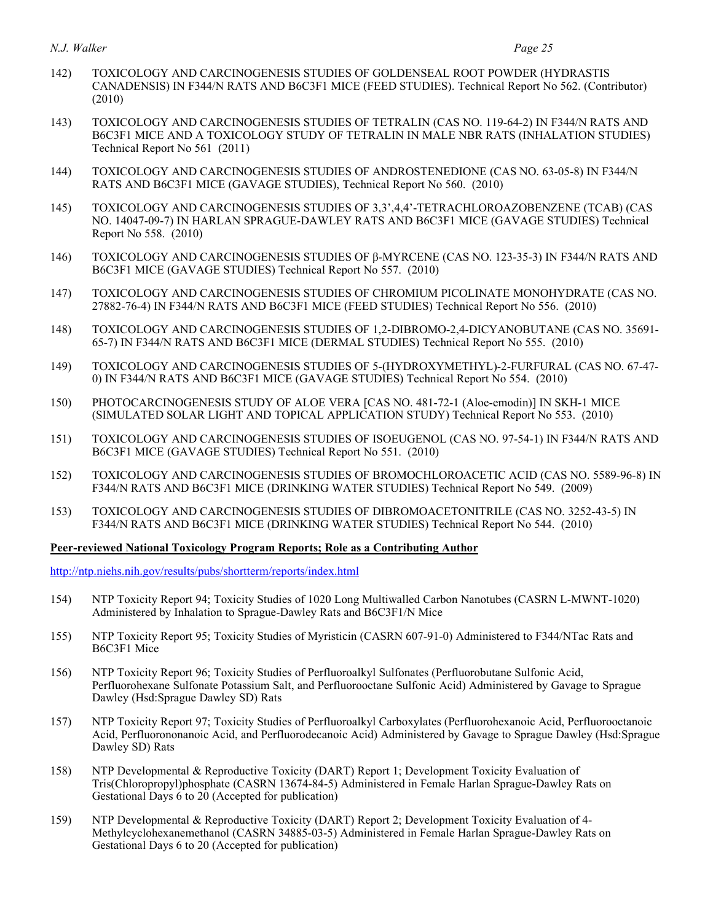- 142) TOXICOLOGY AND CARCINOGENESIS STUDIES OF GOLDENSEAL ROOT POWDER (HYDRASTIS CANADENSIS) IN F344/N RATS AND B6C3F1 MICE (FEED STUDIES). Technical Report No 562. (Contributor) (2010)
- 143) TOXICOLOGY AND CARCINOGENESIS STUDIES OF TETRALIN (CAS NO. 119-64-2) IN F344/N RATS AND B6C3F1 MICE AND A TOXICOLOGY STUDY OF TETRALIN IN MALE NBR RATS (INHALATION STUDIES) Technical Report No 561 (2011)
- 144) TOXICOLOGY AND CARCINOGENESIS STUDIES OF ANDROSTENEDIONE (CAS NO. 63-05-8) IN F344/N RATS AND B6C3F1 MICE (GAVAGE STUDIES), Technical Report No 560. (2010)
- 145) TOXICOLOGY AND CARCINOGENESIS STUDIES OF 3,3',4,4'-TETRACHLOROAZOBENZENE (TCAB) (CAS NO. 14047-09-7) IN HARLAN SPRAGUE-DAWLEY RATS AND B6C3F1 MICE (GAVAGE STUDIES) Technical Report No 558. (2010)
- 146) TOXICOLOGY AND CARCINOGENESIS STUDIES OF β-MYRCENE (CAS NO. 123-35-3) IN F344/N RATS AND B6C3F1 MICE (GAVAGE STUDIES) Technical Report No 557. (2010)
- 147) TOXICOLOGY AND CARCINOGENESIS STUDIES OF CHROMIUM PICOLINATE MONOHYDRATE (CAS NO. 27882-76-4) IN F344/N RATS AND B6C3F1 MICE (FEED STUDIES) Technical Report No 556. (2010)
- 148) TOXICOLOGY AND CARCINOGENESIS STUDIES OF 1,2-DIBROMO-2,4-DICYANOBUTANE (CAS NO. 35691- 65-7) IN F344/N RATS AND B6C3F1 MICE (DERMAL STUDIES) Technical Report No 555. (2010)
- 149) TOXICOLOGY AND CARCINOGENESIS STUDIES OF 5-(HYDROXYMETHYL)-2-FURFURAL (CAS NO. 67-47- 0) IN F344/N RATS AND B6C3F1 MICE (GAVAGE STUDIES) Technical Report No 554. (2010)
- 150) PHOTOCARCINOGENESIS STUDY OF ALOE VERA [CAS NO. 481-72-1 (Aloe-emodin)] IN SKH-1 MICE (SIMULATED SOLAR LIGHT AND TOPICAL APPLICATION STUDY) Technical Report No 553. (2010)
- 151) TOXICOLOGY AND CARCINOGENESIS STUDIES OF ISOEUGENOL (CAS NO. 97-54-1) IN F344/N RATS AND B6C3F1 MICE (GAVAGE STUDIES) Technical Report No 551. (2010)
- 152) TOXICOLOGY AND CARCINOGENESIS STUDIES OF BROMOCHLOROACETIC ACID (CAS NO. 5589-96-8) IN F344/N RATS AND B6C3F1 MICE (DRINKING WATER STUDIES) Technical Report No 549. (2009)
- 153) TOXICOLOGY AND CARCINOGENESIS STUDIES OF DIBROMOACETONITRILE (CAS NO. 3252-43-5) IN F344/N RATS AND B6C3F1 MICE (DRINKING WATER STUDIES) Technical Report No 544. (2010)

#### **Peer-reviewed National Toxicology Program Reports; Role as a Contributing Author**

<http://ntp.niehs.nih.gov/results/pubs/shortterm/reports/index.html>

- 154) NTP Toxicity Report 94; Toxicity Studies of 1020 Long Multiwalled Carbon Nanotubes (CASRN L-MWNT-1020) Administered by Inhalation to Sprague-Dawley Rats and B6C3F1/N Mice
- 155) NTP Toxicity Report 95; Toxicity Studies of Myristicin (CASRN 607-91-0) Administered to F344/NTac Rats and B6C3F1 Mice
- 156) NTP Toxicity Report 96; Toxicity Studies of Perfluoroalkyl Sulfonates (Perfluorobutane Sulfonic Acid, Perfluorohexane Sulfonate Potassium Salt, and Perfluorooctane Sulfonic Acid) Administered by Gavage to Sprague Dawley (Hsd:Sprague Dawley SD) Rats
- 157) NTP Toxicity Report 97; Toxicity Studies of Perfluoroalkyl Carboxylates (Perfluorohexanoic Acid, Perfluorooctanoic Acid, Perfluorononanoic Acid, and Perfluorodecanoic Acid) Administered by Gavage to Sprague Dawley (Hsd:Sprague Dawley SD) Rats
- 158) NTP Developmental & Reproductive Toxicity (DART) Report 1; Development Toxicity Evaluation of Tris(Chloropropyl)phosphate (CASRN 13674-84-5) Administered in Female Harlan Sprague-Dawley Rats on Gestational Days 6 to 20 (Accepted for publication)
- 159) NTP Developmental & Reproductive Toxicity (DART) Report 2; Development Toxicity Evaluation of 4- Methylcyclohexanemethanol (CASRN 34885-03-5) Administered in Female Harlan Sprague-Dawley Rats on Gestational Days 6 to 20 (Accepted for publication)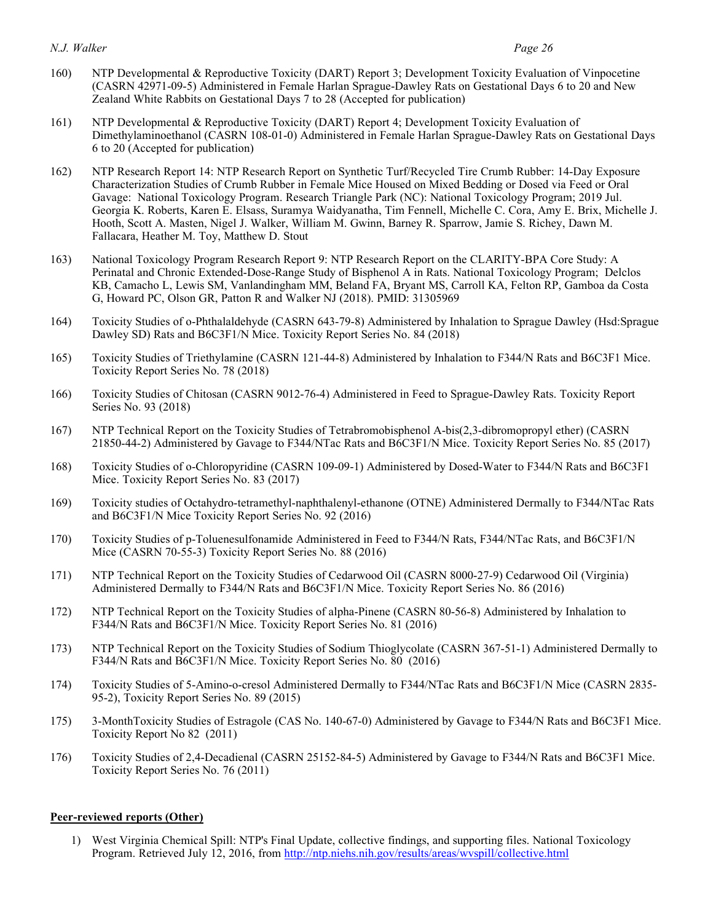- 160) NTP Developmental & Reproductive Toxicity (DART) Report 3; Development Toxicity Evaluation of Vinpocetine (CASRN 42971-09-5) Administered in Female Harlan Sprague-Dawley Rats on Gestational Days 6 to 20 and New Zealand White Rabbits on Gestational Days 7 to 28 (Accepted for publication)
- 161) NTP Developmental & Reproductive Toxicity (DART) Report 4; Development Toxicity Evaluation of Dimethylaminoethanol (CASRN 108-01-0) Administered in Female Harlan Sprague-Dawley Rats on Gestational Days 6 to 20 (Accepted for publication)
- 162) NTP Research Report 14: NTP Research Report on Synthetic Turf/Recycled Tire Crumb Rubber: 14-Day Exposure Characterization Studies of Crumb Rubber in Female Mice Housed on Mixed Bedding or Dosed via Feed or Oral Gavage: National Toxicology Program. Research Triangle Park (NC): National Toxicology Program; 2019 Jul. Georgia K. Roberts, Karen E. Elsass, Suramya Waidyanatha, Tim Fennell, Michelle C. Cora, Amy E. Brix, Michelle J. Hooth, Scott A. Masten, Nigel J. Walker, William M. Gwinn, Barney R. Sparrow, Jamie S. Richey, Dawn M. Fallacara, Heather M. Toy, Matthew D. Stout
- 163) National Toxicology Program Research Report 9: NTP Research Report on the CLARITY-BPA Core Study: A Perinatal and Chronic Extended-Dose-Range Study of Bisphenol A in Rats. National Toxicology Program; Delclos KB, Camacho L, Lewis SM, Vanlandingham MM, Beland FA, Bryant MS, Carroll KA, Felton RP, Gamboa da Costa G, Howard PC, Olson GR, Patton R and Walker NJ (2018). PMID: 31305969
- 164) Toxicity Studies of o-Phthalaldehyde (CASRN 643-79-8) Administered by Inhalation to Sprague Dawley (Hsd:Sprague Dawley SD) Rats and B6C3F1/N Mice. Toxicity Report Series No. 84 (2018)
- 165) Toxicity Studies of Triethylamine (CASRN 121-44-8) Administered by Inhalation to F344/N Rats and B6C3F1 Mice. Toxicity Report Series No. 78 (2018)
- 166) Toxicity Studies of Chitosan (CASRN 9012-76-4) Administered in Feed to Sprague-Dawley Rats. Toxicity Report Series No. 93 (2018)
- 167) NTP Technical Report on the Toxicity Studies of Tetrabromobisphenol A-bis(2,3-dibromopropyl ether) (CASRN 21850-44-2) Administered by Gavage to F344/NTac Rats and B6C3F1/N Mice. Toxicity Report Series No. 85 (2017)
- 168) Toxicity Studies of o-Chloropyridine (CASRN 109-09-1) Administered by Dosed-Water to F344/N Rats and B6C3F1 Mice. Toxicity Report Series No. 83 (2017)
- 169) Toxicity studies of Octahydro-tetramethyl-naphthalenyl-ethanone (OTNE) Administered Dermally to F344/NTac Rats and B6C3F1/N Mice Toxicity Report Series No. 92 (2016)
- 170) Toxicity Studies of p-Toluenesulfonamide Administered in Feed to F344/N Rats, F344/NTac Rats, and B6C3F1/N Mice (CASRN 70-55-3) Toxicity Report Series No. 88 (2016)
- 171) NTP Technical Report on the Toxicity Studies of Cedarwood Oil (CASRN 8000-27-9) Cedarwood Oil (Virginia) Administered Dermally to F344/N Rats and B6C3F1/N Mice. Toxicity Report Series No. 86 (2016)
- 172) NTP Technical Report on the Toxicity Studies of alpha-Pinene (CASRN 80-56-8) Administered by Inhalation to F344/N Rats and B6C3F1/N Mice. Toxicity Report Series No. 81 (2016)
- 173) NTP Technical Report on the Toxicity Studies of Sodium Thioglycolate (CASRN 367-51-1) Administered Dermally to F344/N Rats and B6C3F1/N Mice. Toxicity Report Series No. 80 (2016)
- 174) Toxicity Studies of 5-Amino-o-cresol Administered Dermally to F344/NTac Rats and B6C3F1/N Mice (CASRN 2835- 95-2), Toxicity Report Series No. 89 (2015)
- 175) 3-MonthToxicity Studies of Estragole (CAS No. 140-67-0) Administered by Gavage to F344/N Rats and B6C3F1 Mice. Toxicity Report No 82 (2011)
- 176) Toxicity Studies of 2,4-Decadienal (CASRN 25152-84-5) Administered by Gavage to F344/N Rats and B6C3F1 Mice. Toxicity Report Series No. 76 (2011)

### **Peer-reviewed reports (Other)**

 1) West Virginia Chemical Spill: NTP's Final Update, collective findings, and supporting files. National Toxicology Program. Retrieved July 12, 2016, from http://ntp.niehs.nih.gov/results/areas/wvspill/collective.html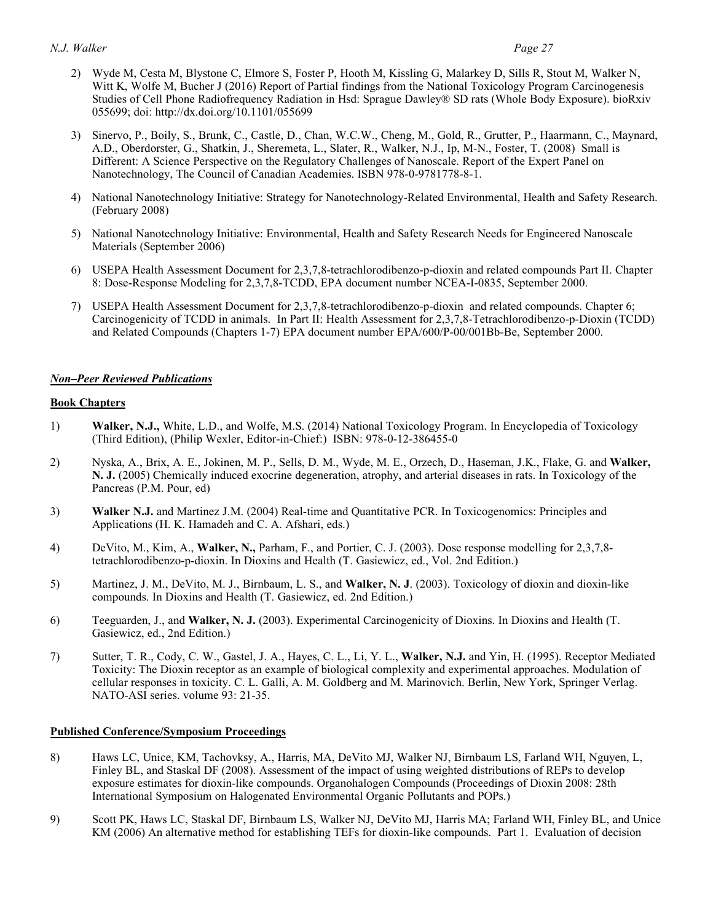- 2) Wyde M, Cesta M, Blystone C, Elmore S, Foster P, Hooth M, Kissling G, Malarkey D, Sills R, Stout M, Walker N, Witt K, Wolfe M, Bucher J (2016) Report of Partial findings from the National Toxicology Program Carcinogenesis Studies of Cell Phone Radiofrequency Radiation in Hsd: Sprague Dawley® SD rats (Whole Body Exposure). bioRxiv 055699; doi:<http://dx.doi.org/10.1101/055699>
- 3) Sinervo, P., Boily, S., Brunk, C., Castle, D., Chan, W.C.W., Cheng, M., Gold, R., Grutter, P., Haarmann, C., Maynard, A.D., Oberdorster, G., Shatkin, J., Sheremeta, L., Slater, R., Walker, N.J., Ip, M-N., Foster, T. (2008) Small is Different: A Science Perspective on the Regulatory Challenges of Nanoscale. Report of the Expert Panel on Nanotechnology, The Council of Canadian Academies. ISBN 978-0-9781778-8-1.
- 4) National Nanotechnology Initiative: Strategy for Nanotechnology-Related Environmental, Health and Safety Research. (February 2008)
- (February 2008) 5) National Nanotechnology Initiative: Environmental, Health and Safety Research Needs for Engineered Nanoscale Materials (September 2006)
- 6) USEPA Health Assessment Document for 2,3,7,8-tetrachlorodibenzo-p-dioxin and related compounds Part II. Chapter 8: Dose-Response Modeling for 2,3,7,8-TCDD, EPA document number NCEA-I-0835, September 2000.
- 7) USEPA Health Assessment Document for 2,3,7,8-tetrachlorodibenzo-p-dioxin and related compounds. Chapter 6; Carcinogenicity of TCDD in animals. In Part II: Health Assessment for 2,3,7,8-Tetrachlorodibenzo-p-Dioxin (TCDD) and Related Compounds (Chapters 1-7) EPA document number EPA/600/P-00/001Bb-Be, September 2000.

#### *Non–Peer Reviewed Publications*

#### **Book Chapters**

- 1) **Walker, N.J.,** White, L.D., and Wolfe, M.S. (2014) National Toxicology Program. In Encyclopedia of Toxicology (Third Edition), (Philip Wexler, Editor-in-Chief:) ISBN: 978-0-12-386455-0
- 2) Nyska, A., Brix, A. E., Jokinen, M. P., Sells, D. M., Wyde, M. E., Orzech, D., Haseman, J.K., Flake, G. and **Walker, N. J.** (2005) Chemically induced exocrine degeneration, atrophy, and arterial diseases in rats. In Toxicology of the Pancreas (P.M. Pour, ed)
- 3) **Walker N.J.** and Martinez J.M. (2004) Real-time and Quantitative PCR. In Toxicogenomics: Principles and Applications (H. K. Hamadeh and C. A. Afshari, eds.)
- 4) DeVito, M., Kim, A., **Walker, N.,** Parham, F., and Portier, C. J. (2003). Dose response modelling for 2,3,7,8- tetrachlorodibenzo-p-dioxin. In Dioxins and Health (T. Gasiewicz, ed., Vol. 2nd Edition.)
- 5) Martinez, J. M., DeVito, M. J., Birnbaum, L. S., and **Walker, N. J**. (2003). Toxicology of dioxin and dioxin-like compounds. In Dioxins and Health (T. Gasiewicz, ed. 2nd Edition.)
- 6) Teeguarden, J., and **Walker, N. J.** (2003). Experimental Carcinogenicity of Dioxins. In Dioxins and Health (T. Gasiewicz, ed., 2nd Edition.)
- 7) Sutter, T. R., Cody, C. W., Gastel, J. A., Hayes, C. L., Li, Y. L., **Walker, N.J.** and Yin, H. (1995). Receptor Mediated Toxicity: The Dioxin receptor as an example of biological complexity and experimental approaches. Modulation of cellular responses in toxicity. C. L. Galli, A. M. Goldberg and M. Marinovich. Berlin, New York, Springer Verlag. NATO-ASI series. volume 93: 21-35.

#### **Published Conference/Symposium Proceedings**

- 8) Haws LC, Unice, KM, Tachovksy, A., Harris, MA, DeVito MJ, Walker NJ, Birnbaum LS, Farland WH, Nguyen, L, Finley BL, and Staskal DF (2008). Assessment of the impact of using weighted distributions of REPs to develop exposure estimates for dioxin-like compounds. Organohalogen Compounds (Proceedings of Dioxin 2008: 28th International Symposium on Halogenated Environmental Organic Pollutants and POPs.)
- 9) Scott PK, Haws LC, Staskal DF, Birnbaum LS, Walker NJ, DeVito MJ, Harris MA; Farland WH, Finley BL, and Unice KM (2006) An alternative method for establishing TEFs for dioxin-like compounds. Part 1. Evaluation of decision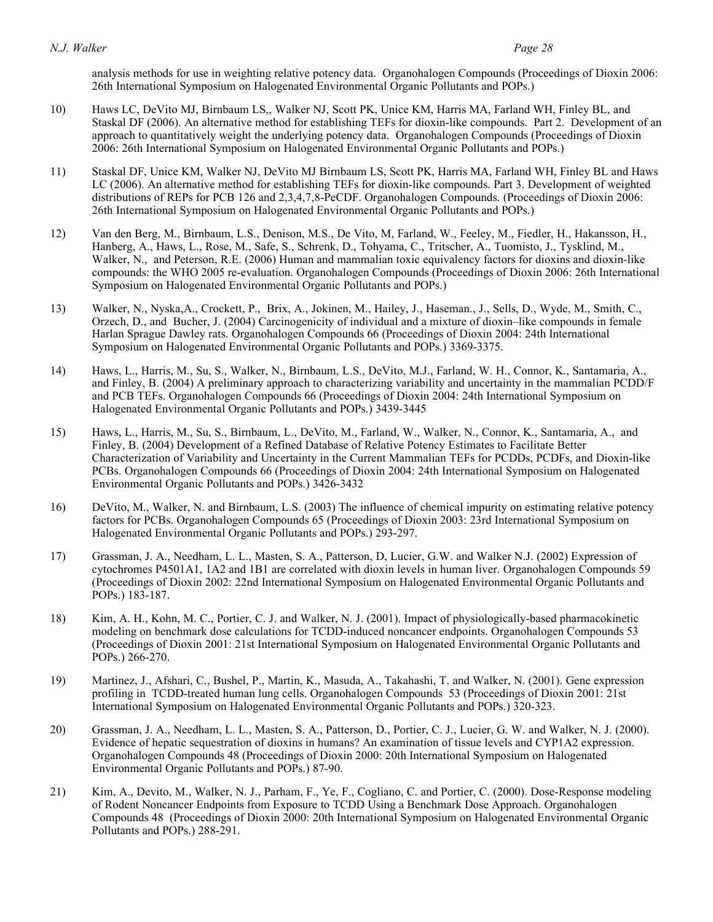analysis methods for use in weighting relative potency data. Organohalogen Compounds (Proceedings of Dioxin 2006: 26th International Symposium on Halogenated Environmental Organic Pollutants and POPs.)

- 10) Haws LC, DeVito MJ, Birnbaum LS,, Walker NJ, Scott PK, Unice KM, Harris MA, Farland WH, Finley BL, and Staskal DF (2006). An alternative method for establishing TEFs for dioxin-like compounds. Part 2. Development of an approach to quantitatively weight the underlying potency data. Organohalogen Compounds (Proceedings of Dioxin 2006: 26th International Symposium on Halogenated Environmental Organic Pollutants and POPs.)
- 11) Staskal DF, Unice KM, Walker NJ, DeVito MJ Birnbaum LS, Scott PK, Harris MA, Farland WH, Finley BL and Haws LC (2006). An alternative method for establishing TEFs for dioxin-like compounds. Part 3. Development of weighted distributions of REPs for PCB 126 and 2,3,4,7,8-PeCDF. Organohalogen Compounds. (Proceedings of Dioxin 2006: 26th International Symposium on Halogenated Environmental Organic Pollutants and POPs.)
- 12) Van den Berg, M., Birnbaum, L.S., Denison, M.S., De Vito, M, Farland, W., Feeley, M., Fiedler, H., Hakansson, H., Hanberg, A., Haws, L., Rose, M., Safe, S., Schrenk, D., Tohyama, C., Tritscher, A., Tuomisto, J., Tysklind, M., Walker, N., and Peterson, R.E. (2006) Human and mammalian toxic equivalency factors for dioxins and dioxin-like compounds: the WHO 2005 re-evaluation. Organohalogen Compounds (Proceedings of Dioxin 2006: 26th International Symposium on Halogenated Environmental Organic Pollutants and POPs.)
- 13) Walker, N., Nyska,A., Crockett, P., Brix, A., Jokinen, M., Hailey, J., Haseman., J., Sells, D., Wyde, M., Smith, C., Orzech, D., and Bucher, J. (2004) Carcinogenicity of individual and a mixture of dioxin–like compounds in female Harlan Sprague Dawley rats. Organohalogen Compounds 66 (Proceedings of Dioxin 2004: 24th International Symposium on Halogenated Environmental Organic Pollutants and POPs.) 3369-3375.
- 14) Haws, L., Harris, M., Su, S., Walker, N., Birnbaum, L.S., DeVito, M.J., Farland, W. H., Connor, K., Santamaria, A., and Finley, B. (2004) A preliminary approach to characterizing variability and uncertainty in the mammalian PCDD/F and PCB TEFs. Organohalogen Compounds 66 (Proceedings of Dioxin 2004: 24th International Symposium on Halogenated Environmental Organic Pollutants and POPs.) 3439-3445
- 15) Haws, L., Harris, M., Su, S., Birnbaum, L., DeVito, M., Farland, W., Walker, N., Connor, K., Santamaria, A., and Finley, B. (2004) Development of a Refined Database of Relative Potency Estimates to Facilitate Better Characterization of Variability and Uncertainty in the Current Mammalian TEFs for PCDDs, PCDFs, and Dioxin-like PCBs. Organohalogen Compounds 66 (Proceedings of Dioxin 2004: 24th International Symposium on Halogenated Environmental Organic Pollutants and POPs.) 3426-3432
- 16) DeVito, M., Walker, N. and Birnbaum, L.S. (2003) The influence of chemical impurity on estimating relative potency factors for PCBs. Organohalogen Compounds 65 (Proceedings of Dioxin 2003: 23rd International Symposium on Halogenated Environmental Organic Pollutants and POPs.) 293-297.
- 17) Grassman, J. A., Needham, L. L., Masten, S. A., Patterson, D, Lucier, G.W. and Walker N.J. (2002) Expression of cytochromes P4501A1, 1A2 and 1B1 are correlated with dioxin levels in human liver. Organohalogen Compounds 59 (Proceedings of Dioxin 2002: 22nd International Symposium on Halogenated Environmental Organic Pollutants and POPs.) 183-187.
- 18) Kim, A. H., Kohn, M. C., Portier, C. J. and Walker, N. J. (2001). Impact of physiologically-based pharmacokinetic modeling on benchmark dose calculations for TCDD-induced noncancer endpoints. Organohalogen Compounds 53 (Proceedings of Dioxin 2001: 21st International Symposium on Halogenated Environmental Organic Pollutants and POPs.) 266-270.
- 19) Martinez, J., Afshari, C., Bushel, P., Martin, K., Masuda, A., Takahashi, T. and Walker, N. (2001). Gene expression profiling in TCDD-treated human lung cells. Organohalogen Compounds 53 (Proceedings of Dioxin 2001: 21st International Symposium on Halogenated Environmental Organic Pollutants and POPs.) 320-323.
- 20) Grassman, J. A., Needham, L. L., Masten, S. A., Patterson, D., Portier, C. J., Lucier, G. W. and Walker, N. J. (2000). Evidence of hepatic sequestration of dioxins in humans? An examination of tissue levels and CYP1A2 expression. Organohalogen Compounds 48 (Proceedings of Dioxin 2000: 20th International Symposium on Halogenated Environmental Organic Pollutants and POPs.) 87-90.
- 21) Kim, A., Devito, M., Walker, N. J., Parham, F., Ye, F., Cogliano, C. and Portier, C. (2000). Dose-Response modeling of Rodent Noncancer Endpoints from Exposure to TCDD Using a Benchmark Dose Approach. Organohalogen Compounds 48 (Proceedings of Dioxin 2000: 20th International Symposium on Halogenated Environmental Organic Pollutants and POPs.) 288-291.